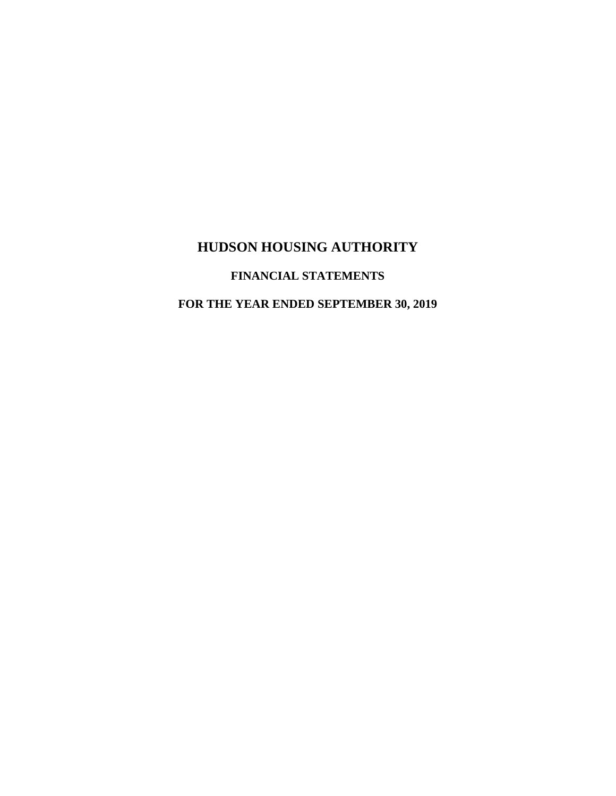# **FINANCIAL STATEMENTS**

# **FOR THE YEAR ENDED SEPTEMBER 30, 2019**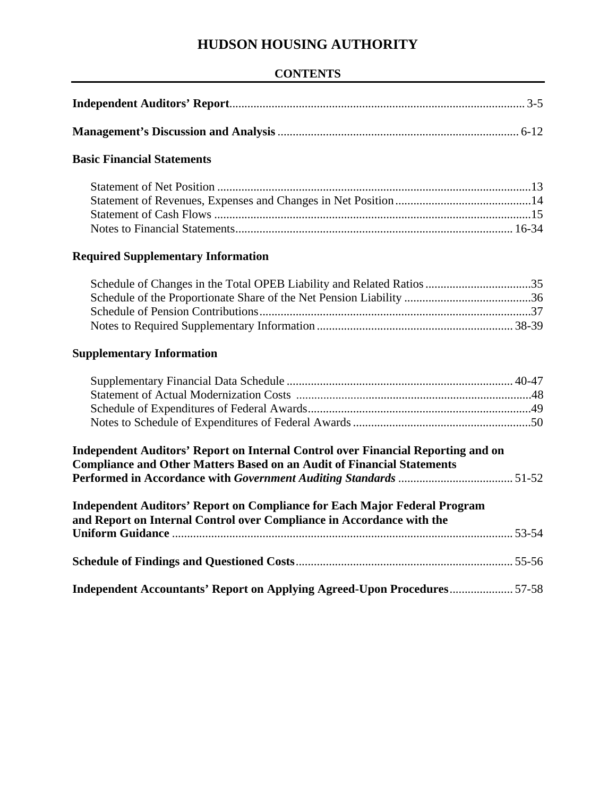## **CONTENTS**

#### **Basic Financial Statements**

# **Required Supplementary Information**

# **Supplementary Information**

| Independent Auditors' Report on Internal Control over Financial Reporting and on<br><b>Compliance and Other Matters Based on an Audit of Financial Statements</b><br><b>Independent Auditors' Report on Compliance for Each Major Federal Program</b><br>and Report on Internal Control over Compliance in Accordance with the |  |
|--------------------------------------------------------------------------------------------------------------------------------------------------------------------------------------------------------------------------------------------------------------------------------------------------------------------------------|--|
|                                                                                                                                                                                                                                                                                                                                |  |
|                                                                                                                                                                                                                                                                                                                                |  |
| <b>Independent Accountants' Report on Applying Agreed-Upon Procedures</b> 57-58                                                                                                                                                                                                                                                |  |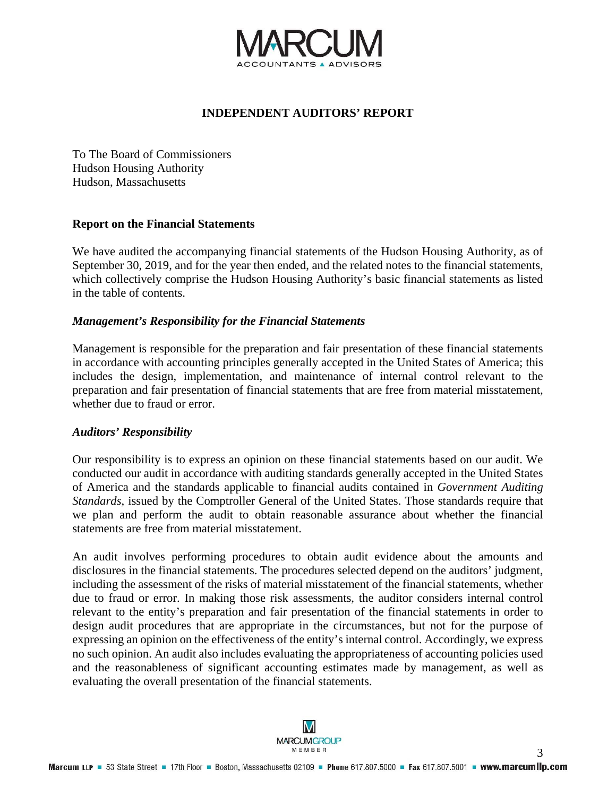

### **INDEPENDENT AUDITORS' REPORT**

To The Board of Commissioners Hudson Housing Authority Hudson, Massachusetts

#### **Report on the Financial Statements**

We have audited the accompanying financial statements of the Hudson Housing Authority, as of September 30, 2019, and for the year then ended, and the related notes to the financial statements, which collectively comprise the Hudson Housing Authority's basic financial statements as listed in the table of contents.

#### *Management's Responsibility for the Financial Statements*

Management is responsible for the preparation and fair presentation of these financial statements in accordance with accounting principles generally accepted in the United States of America; this includes the design, implementation, and maintenance of internal control relevant to the preparation and fair presentation of financial statements that are free from material misstatement, whether due to fraud or error.

### *Auditors' Responsibility*

Our responsibility is to express an opinion on these financial statements based on our audit. We conducted our audit in accordance with auditing standards generally accepted in the United States of America and the standards applicable to financial audits contained in *Government Auditing Standards*, issued by the Comptroller General of the United States. Those standards require that we plan and perform the audit to obtain reasonable assurance about whether the financial statements are free from material misstatement.

An audit involves performing procedures to obtain audit evidence about the amounts and disclosures in the financial statements. The procedures selected depend on the auditors' judgment, including the assessment of the risks of material misstatement of the financial statements, whether due to fraud or error. In making those risk assessments, the auditor considers internal control relevant to the entity's preparation and fair presentation of the financial statements in order to design audit procedures that are appropriate in the circumstances, but not for the purpose of expressing an opinion on the effectiveness of the entity's internal control. Accordingly, we express no such opinion. An audit also includes evaluating the appropriateness of accounting policies used and the reasonableness of significant accounting estimates made by management, as well as evaluating the overall presentation of the financial statements.



3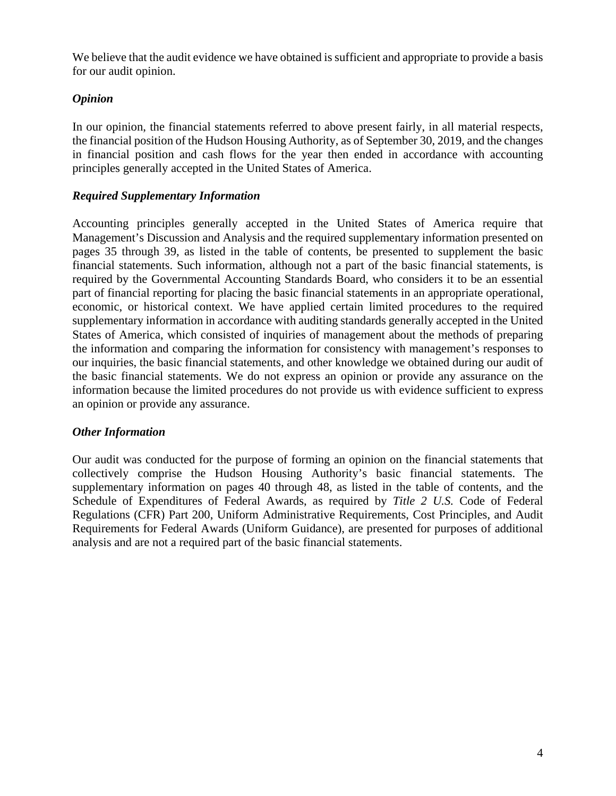We believe that the audit evidence we have obtained is sufficient and appropriate to provide a basis for our audit opinion.

## *Opinion*

In our opinion, the financial statements referred to above present fairly, in all material respects, the financial position of the Hudson Housing Authority, as of September 30, 2019, and the changes in financial position and cash flows for the year then ended in accordance with accounting principles generally accepted in the United States of America.

## *Required Supplementary Information*

Accounting principles generally accepted in the United States of America require that Management's Discussion and Analysis and the required supplementary information presented on pages 35 through 39, as listed in the table of contents, be presented to supplement the basic financial statements. Such information, although not a part of the basic financial statements, is required by the Governmental Accounting Standards Board, who considers it to be an essential part of financial reporting for placing the basic financial statements in an appropriate operational, economic, or historical context. We have applied certain limited procedures to the required supplementary information in accordance with auditing standards generally accepted in the United States of America, which consisted of inquiries of management about the methods of preparing the information and comparing the information for consistency with management's responses to our inquiries, the basic financial statements, and other knowledge we obtained during our audit of the basic financial statements. We do not express an opinion or provide any assurance on the information because the limited procedures do not provide us with evidence sufficient to express an opinion or provide any assurance.

## *Other Information*

Our audit was conducted for the purpose of forming an opinion on the financial statements that collectively comprise the Hudson Housing Authority's basic financial statements. The supplementary information on pages 40 through 48, as listed in the table of contents, and the Schedule of Expenditures of Federal Awards, as required by *Title 2 U.S.* Code of Federal Regulations (CFR) Part 200, Uniform Administrative Requirements, Cost Principles, and Audit Requirements for Federal Awards (Uniform Guidance), are presented for purposes of additional analysis and are not a required part of the basic financial statements.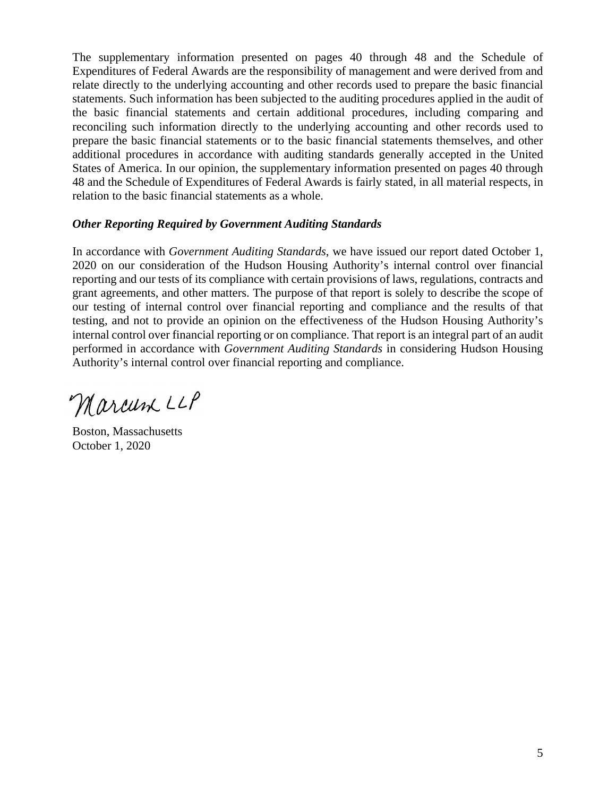The supplementary information presented on pages 40 through 48 and the Schedule of Expenditures of Federal Awards are the responsibility of management and were derived from and relate directly to the underlying accounting and other records used to prepare the basic financial statements. Such information has been subjected to the auditing procedures applied in the audit of the basic financial statements and certain additional procedures, including comparing and reconciling such information directly to the underlying accounting and other records used to prepare the basic financial statements or to the basic financial statements themselves, and other additional procedures in accordance with auditing standards generally accepted in the United States of America. In our opinion, the supplementary information presented on pages 40 through 48 and the Schedule of Expenditures of Federal Awards is fairly stated, in all material respects, in relation to the basic financial statements as a whole.

### *Other Reporting Required by Government Auditing Standards*

In accordance with *Government Auditing Standards*, we have issued our report dated October 1, 2020 on our consideration of the Hudson Housing Authority's internal control over financial reporting and our tests of its compliance with certain provisions of laws, regulations, contracts and grant agreements, and other matters. The purpose of that report is solely to describe the scope of our testing of internal control over financial reporting and compliance and the results of that testing, and not to provide an opinion on the effectiveness of the Hudson Housing Authority's internal control over financial reporting or on compliance. That report is an integral part of an audit performed in accordance with *Government Auditing Standards* in considering Hudson Housing Authority's internal control over financial reporting and compliance.

Marcum LLP

Boston, Massachusetts October 1, 2020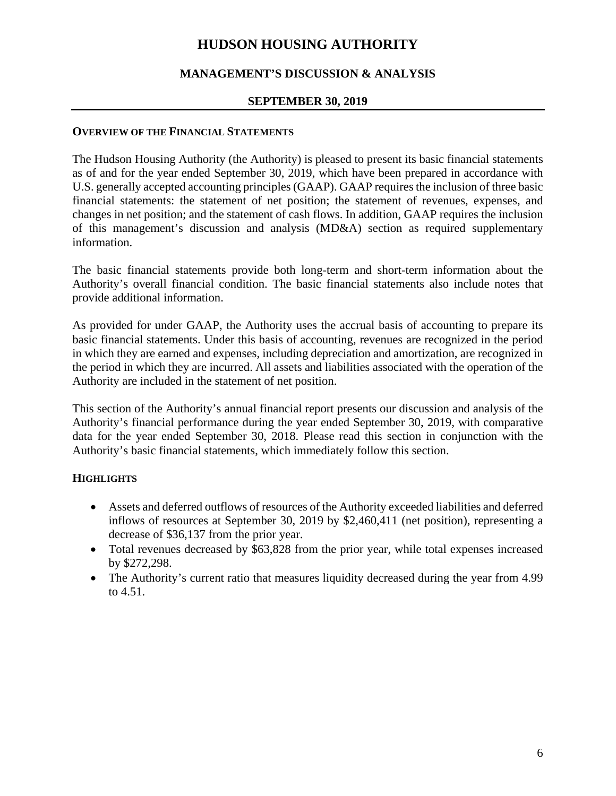## **MANAGEMENT'S DISCUSSION & ANALYSIS**

### **SEPTEMBER 30, 2019**

#### **OVERVIEW OF THE FINANCIAL STATEMENTS**

The Hudson Housing Authority (the Authority) is pleased to present its basic financial statements as of and for the year ended September 30, 2019, which have been prepared in accordance with U.S. generally accepted accounting principles (GAAP). GAAP requires the inclusion of three basic financial statements: the statement of net position; the statement of revenues, expenses, and changes in net position; and the statement of cash flows. In addition, GAAP requires the inclusion of this management's discussion and analysis (MD&A) section as required supplementary information.

The basic financial statements provide both long-term and short-term information about the Authority's overall financial condition. The basic financial statements also include notes that provide additional information.

As provided for under GAAP, the Authority uses the accrual basis of accounting to prepare its basic financial statements. Under this basis of accounting, revenues are recognized in the period in which they are earned and expenses, including depreciation and amortization, are recognized in the period in which they are incurred. All assets and liabilities associated with the operation of the Authority are included in the statement of net position.

This section of the Authority's annual financial report presents our discussion and analysis of the Authority's financial performance during the year ended September 30, 2019, with comparative data for the year ended September 30, 2018. Please read this section in conjunction with the Authority's basic financial statements, which immediately follow this section.

## **HIGHLIGHTS**

- Assets and deferred outflows of resources of the Authority exceeded liabilities and deferred inflows of resources at September 30, 2019 by \$2,460,411 (net position), representing a decrease of \$36,137 from the prior year.
- Total revenues decreased by \$63,828 from the prior year, while total expenses increased by \$272,298.
- The Authority's current ratio that measures liquidity decreased during the year from 4.99 to 4.51.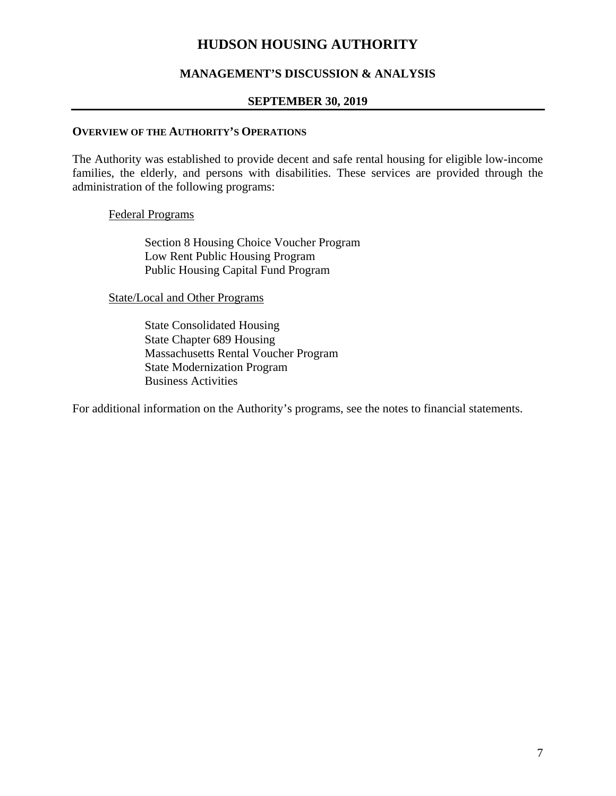#### **MANAGEMENT'S DISCUSSION & ANALYSIS**

#### **SEPTEMBER 30, 2019**

#### **OVERVIEW OF THE AUTHORITY'S OPERATIONS**

The Authority was established to provide decent and safe rental housing for eligible low-income families, the elderly, and persons with disabilities. These services are provided through the administration of the following programs:

#### Federal Programs

 Section 8 Housing Choice Voucher Program Low Rent Public Housing Program Public Housing Capital Fund Program

#### State/Local and Other Programs

 State Consolidated Housing State Chapter 689 Housing Massachusetts Rental Voucher Program State Modernization Program Business Activities

For additional information on the Authority's programs, see the notes to financial statements.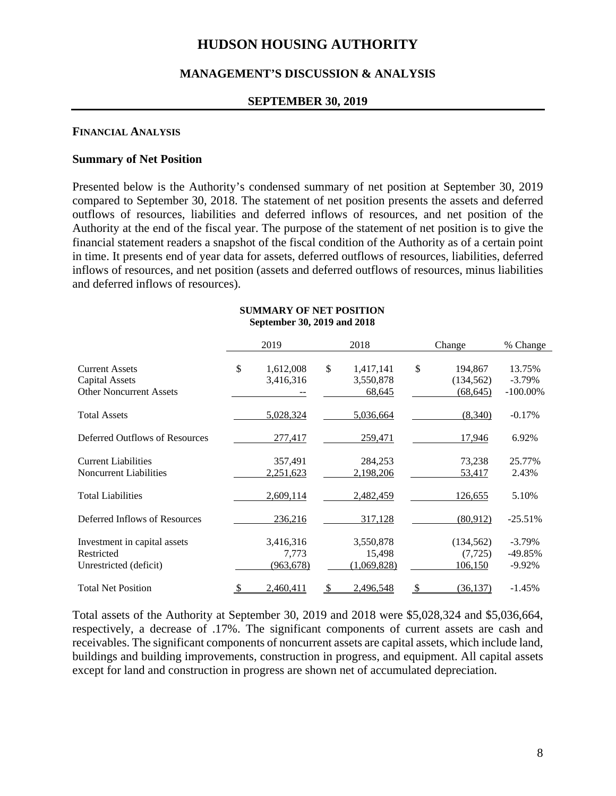### **MANAGEMENT'S DISCUSSION & ANALYSIS**

#### **SEPTEMBER 30, 2019**

#### **FINANCIAL ANALYSIS**

#### **Summary of Net Position**

Presented below is the Authority's condensed summary of net position at September 30, 2019 compared to September 30, 2018. The statement of net position presents the assets and deferred outflows of resources, liabilities and deferred inflows of resources, and net position of the Authority at the end of the fiscal year. The purpose of the statement of net position is to give the financial statement readers a snapshot of the fiscal condition of the Authority as of a certain point in time. It presents end of year data for assets, deferred outflows of resources, liabilities, deferred inflows of resources, and net position (assets and deferred outflows of resources, minus liabilities and deferred inflows of resources).

|                                                                                  |           | 2019                             |    | 2018                               |    | Change                             | % Change                           |
|----------------------------------------------------------------------------------|-----------|----------------------------------|----|------------------------------------|----|------------------------------------|------------------------------------|
| <b>Current Assets</b><br><b>Capital Assets</b><br><b>Other Noncurrent Assets</b> | \$        | 1,612,008<br>3,416,316           | \$ | 1,417,141<br>3,550,878<br>68,645   | \$ | 194,867<br>(134, 562)<br>(68, 645) | 13.75%<br>$-3.79%$<br>$-100.00\%$  |
| <b>Total Assets</b>                                                              |           | 5,028,324                        |    | 5,036,664                          |    | (8,340)                            | $-0.17%$                           |
| Deferred Outflows of Resources                                                   |           | 277,417                          |    | 259,471                            |    | 17,946                             | 6.92%                              |
| <b>Current Liabilities</b><br><b>Noncurrent Liabilities</b>                      |           | 357,491<br>2,251,623             |    | 284,253<br>2,198,206               |    | 73,238<br>53,417                   | 25.77%<br>2.43%                    |
| <b>Total Liabilities</b>                                                         |           | 2,609,114                        |    | 2,482,459                          |    | 126,655                            | 5.10%                              |
| Deferred Inflows of Resources                                                    |           | 236,216                          |    | 317,128                            |    | (80,912)                           | $-25.51%$                          |
| Investment in capital assets<br>Restricted<br>Unrestricted (deficit)             |           | 3,416,316<br>7,773<br>(963, 678) |    | 3,550,878<br>15,498<br>(1,069,828) |    | (134, 562)<br>(7, 725)<br>106,150  | $-3.79%$<br>$-49.85%$<br>$-9.92\%$ |
| <b>Total Net Position</b>                                                        | <u>\$</u> | 2,460,411                        | -S | 2,496,548                          | -S | (36, 137)                          | $-1.45%$                           |

#### **SUMMARY OF NET POSITION September 30, 2019 and 2018**

Total assets of the Authority at September 30, 2019 and 2018 were \$5,028,324 and \$5,036,664, respectively, a decrease of .17%. The significant components of current assets are cash and receivables. The significant components of noncurrent assets are capital assets, which include land, buildings and building improvements, construction in progress, and equipment. All capital assets except for land and construction in progress are shown net of accumulated depreciation.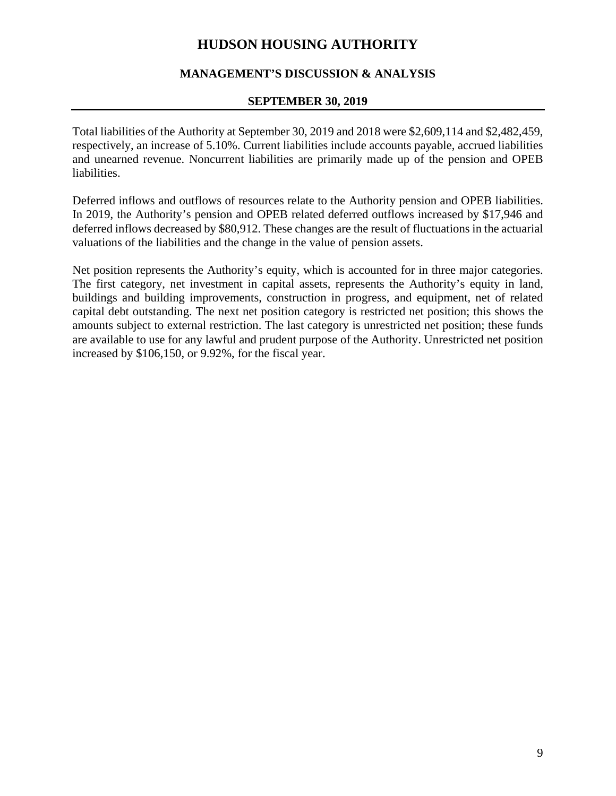## **MANAGEMENT'S DISCUSSION & ANALYSIS**

### **SEPTEMBER 30, 2019**

Total liabilities of the Authority at September 30, 2019 and 2018 were \$2,609,114 and \$2,482,459, respectively, an increase of 5.10%. Current liabilities include accounts payable, accrued liabilities and unearned revenue. Noncurrent liabilities are primarily made up of the pension and OPEB liabilities.

Deferred inflows and outflows of resources relate to the Authority pension and OPEB liabilities. In 2019, the Authority's pension and OPEB related deferred outflows increased by \$17,946 and deferred inflows decreased by \$80,912. These changes are the result of fluctuations in the actuarial valuations of the liabilities and the change in the value of pension assets.

Net position represents the Authority's equity, which is accounted for in three major categories. The first category, net investment in capital assets, represents the Authority's equity in land, buildings and building improvements, construction in progress, and equipment, net of related capital debt outstanding. The next net position category is restricted net position; this shows the amounts subject to external restriction. The last category is unrestricted net position; these funds are available to use for any lawful and prudent purpose of the Authority. Unrestricted net position increased by \$106,150, or 9.92%, for the fiscal year.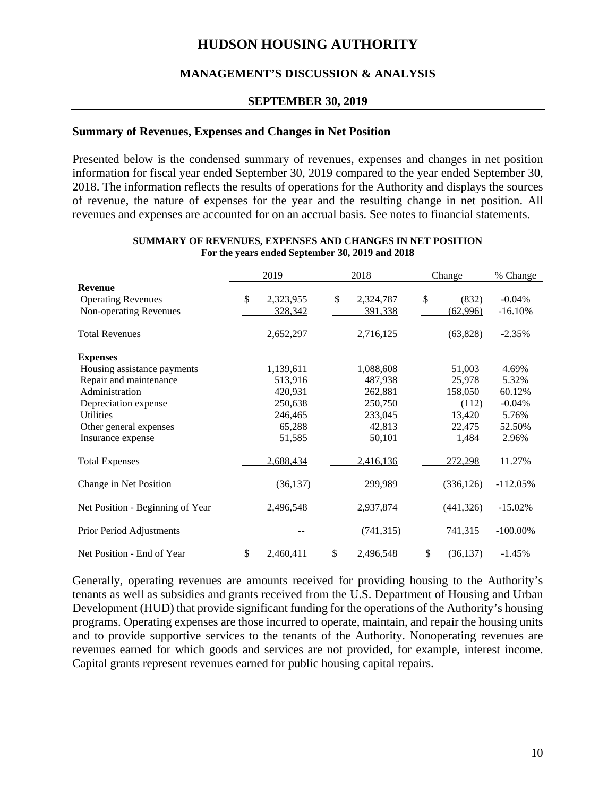### **MANAGEMENT'S DISCUSSION & ANALYSIS**

#### **SEPTEMBER 30, 2019**

#### **Summary of Revenues, Expenses and Changes in Net Position**

Presented below is the condensed summary of revenues, expenses and changes in net position information for fiscal year ended September 30, 2019 compared to the year ended September 30, 2018. The information reflects the results of operations for the Authority and displays the sources of revenue, the nature of expenses for the year and the resulting change in net position. All revenues and expenses are accounted for on an accrual basis. See notes to financial statements.

|                                  | 2019            | 2018            |    | Change     | % Change    |
|----------------------------------|-----------------|-----------------|----|------------|-------------|
| <b>Revenue</b>                   |                 |                 |    |            |             |
| <b>Operating Revenues</b>        | \$<br>2,323,955 | \$<br>2,324,787 | \$ | (832)      | $-0.04\%$   |
| Non-operating Revenues           | 328,342         | 391,338         |    | (62,996)   | $-16.10%$   |
| <b>Total Revenues</b>            | 2,652,297       | 2,716,125       |    | (63,828)   | $-2.35%$    |
| <b>Expenses</b>                  |                 |                 |    |            |             |
| Housing assistance payments      | 1,139,611       | 1,088,608       |    | 51,003     | 4.69%       |
| Repair and maintenance           | 513,916         | 487,938         |    | 25,978     | 5.32%       |
| Administration                   | 420,931         | 262,881         |    | 158,050    | 60.12%      |
| Depreciation expense             | 250,638         | 250,750         |    | (112)      | $-0.04%$    |
| <b>Utilities</b>                 | 246,465         | 233,045         |    | 13,420     | 5.76%       |
| Other general expenses           | 65,288          | 42,813          |    | 22,475     | 52.50%      |
| Insurance expense                | 51,585          | 50,101          |    | 1,484      | 2.96%       |
| <b>Total Expenses</b>            | 2,688,434       | 2,416,136       |    | 272,298    | 11.27%      |
| Change in Net Position           | (36, 137)       | 299,989         |    | (336, 126) | $-112.05%$  |
| Net Position - Beginning of Year | 2,496,548       | 2,937,874       |    | (441, 326) | $-15.02\%$  |
| Prior Period Adjustments         |                 | (741, 315)      |    | 741,315    | $-100.00\%$ |
| Net Position - End of Year       | 2,460,411       | 2,496,548       | -S | (36, 137)  | $-1.45%$    |

#### **SUMMARY OF REVENUES, EXPENSES AND CHANGES IN NET POSITION For the years ended September 30, 2019 and 2018**

Generally, operating revenues are amounts received for providing housing to the Authority's tenants as well as subsidies and grants received from the U.S. Department of Housing and Urban Development (HUD) that provide significant funding for the operations of the Authority's housing programs. Operating expenses are those incurred to operate, maintain, and repair the housing units and to provide supportive services to the tenants of the Authority. Nonoperating revenues are revenues earned for which goods and services are not provided, for example, interest income. Capital grants represent revenues earned for public housing capital repairs.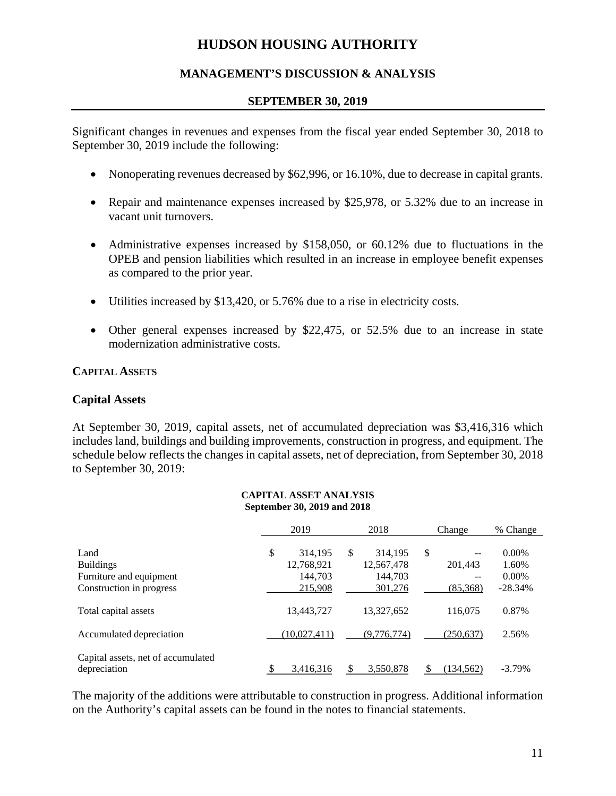## **MANAGEMENT'S DISCUSSION & ANALYSIS**

#### **SEPTEMBER 30, 2019**

Significant changes in revenues and expenses from the fiscal year ended September 30, 2018 to September 30, 2019 include the following:

- Nonoperating revenues decreased by \$62,996, or 16.10%, due to decrease in capital grants.
- Repair and maintenance expenses increased by \$25,978, or 5.32% due to an increase in vacant unit turnovers.
- Administrative expenses increased by \$158,050, or 60.12% due to fluctuations in the OPEB and pension liabilities which resulted in an increase in employee benefit expenses as compared to the prior year.
- Utilities increased by \$13,420, or 5.76% due to a rise in electricity costs.
- Other general expenses increased by \$22,475, or 52.5% due to an increase in state modernization administrative costs.

### **CAPITAL ASSETS**

#### **Capital Assets**

At September 30, 2019, capital assets, net of accumulated depreciation was \$3,416,316 which includes land, buildings and building improvements, construction in progress, and equipment. The schedule below reflects the changes in capital assets, net of depreciation, from September 30, 2018 to September 30, 2019:

| <b>CAPITAL ASSET ANALYSIS</b> |
|-------------------------------|
| September 30, 2019 and 2018   |

|                                                                                 | 2019                                              | 2018                                              | Change                                    | % Change                                   |
|---------------------------------------------------------------------------------|---------------------------------------------------|---------------------------------------------------|-------------------------------------------|--------------------------------------------|
| Land<br><b>Buildings</b><br>Furniture and equipment<br>Construction in progress | \$<br>314,195<br>12,768,921<br>144,703<br>215,908 | \$<br>314,195<br>12,567,478<br>144,703<br>301,276 | \$<br>$-$<br>201,443<br>$- -$<br>(85,368) | $0.00\%$<br>1.60%<br>$0.00\%$<br>$-28.34%$ |
| Total capital assets                                                            | 13,443,727                                        | 13,327,652                                        | 116.075                                   | 0.87%                                      |
| Accumulated depreciation                                                        | (10,027,411)                                      | (9.776.774)                                       | (250,637)                                 | 2.56%                                      |
| Capital assets, net of accumulated<br>depreciation                              | 3.416.316                                         | 3.550.878                                         | (134.562)                                 | $-3.79%$                                   |

The majority of the additions were attributable to construction in progress. Additional information on the Authority's capital assets can be found in the notes to financial statements.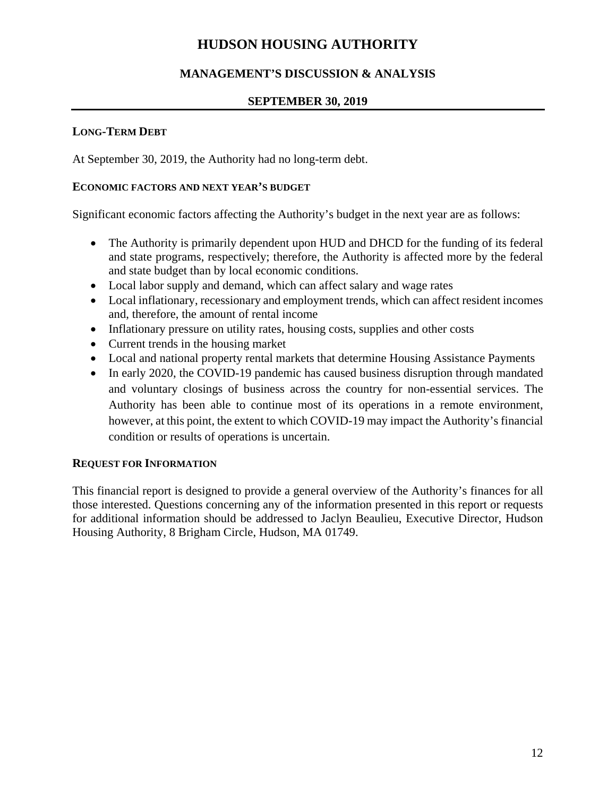## **MANAGEMENT'S DISCUSSION & ANALYSIS**

### **SEPTEMBER 30, 2019**

### **LONG-TERM DEBT**

At September 30, 2019, the Authority had no long-term debt.

#### **ECONOMIC FACTORS AND NEXT YEAR'S BUDGET**

Significant economic factors affecting the Authority's budget in the next year are as follows:

- The Authority is primarily dependent upon HUD and DHCD for the funding of its federal and state programs, respectively; therefore, the Authority is affected more by the federal and state budget than by local economic conditions.
- Local labor supply and demand, which can affect salary and wage rates
- Local inflationary, recessionary and employment trends, which can affect resident incomes and, therefore, the amount of rental income
- Inflationary pressure on utility rates, housing costs, supplies and other costs
- Current trends in the housing market
- Local and national property rental markets that determine Housing Assistance Payments
- In early 2020, the COVID-19 pandemic has caused business disruption through mandated and voluntary closings of business across the country for non-essential services. The Authority has been able to continue most of its operations in a remote environment, however, at this point, the extent to which COVID-19 may impact the Authority's financial condition or results of operations is uncertain.

### **REQUEST FOR INFORMATION**

This financial report is designed to provide a general overview of the Authority's finances for all those interested. Questions concerning any of the information presented in this report or requests for additional information should be addressed to Jaclyn Beaulieu, Executive Director, Hudson Housing Authority, 8 Brigham Circle, Hudson, MA 01749.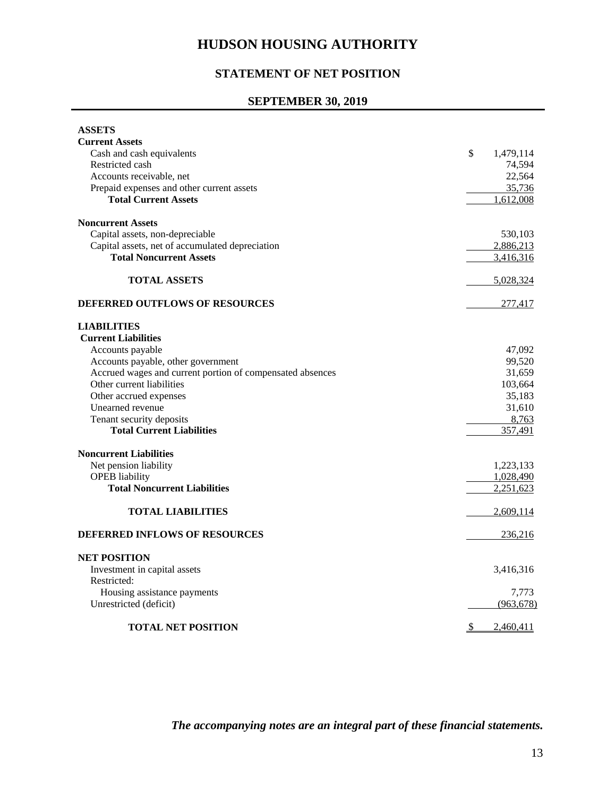# **STATEMENT OF NET POSITION**

### **SEPTEMBER 30, 2019**

| <b>ASSETS</b>                                             |                            |
|-----------------------------------------------------------|----------------------------|
| <b>Current Assets</b>                                     |                            |
| Cash and cash equivalents                                 | \$<br>1,479,114            |
| Restricted cash                                           | 74,594                     |
| Accounts receivable, net                                  | 22,564                     |
| Prepaid expenses and other current assets                 | 35,736                     |
| <b>Total Current Assets</b>                               | 1,612,008                  |
| <b>Noncurrent Assets</b>                                  |                            |
| Capital assets, non-depreciable                           | 530,103                    |
| Capital assets, net of accumulated depreciation           | 2,886,213                  |
| <b>Total Noncurrent Assets</b>                            | 3,416,316                  |
| <b>TOTAL ASSETS</b>                                       | 5,028,324                  |
| <b>DEFERRED OUTFLOWS OF RESOURCES</b>                     | 277,417                    |
| <b>LIABILITIES</b>                                        |                            |
| <b>Current Liabilities</b>                                |                            |
| Accounts payable                                          | 47,092                     |
| Accounts payable, other government                        | 99,520                     |
| Accrued wages and current portion of compensated absences | 31,659                     |
| Other current liabilities                                 | 103,664                    |
| Other accrued expenses                                    | 35,183                     |
| Unearned revenue                                          | 31,610                     |
| Tenant security deposits                                  | 8,763                      |
| <b>Total Current Liabilities</b>                          | 357,491                    |
| <b>Noncurrent Liabilities</b>                             |                            |
| Net pension liability                                     | 1,223,133                  |
| <b>OPEB</b> liability                                     | 1,028,490                  |
| <b>Total Noncurrent Liabilities</b>                       | 2,251,623                  |
| <b>TOTAL LIABILITIES</b>                                  | 2,609,114                  |
| <b>DEFERRED INFLOWS OF RESOURCES</b>                      | 236,216                    |
| <b>NET POSITION</b>                                       |                            |
| Investment in capital assets                              | 3,416,316                  |
| Restricted:                                               |                            |
| Housing assistance payments                               | 7,773                      |
| Unrestricted (deficit)                                    | (963, 678)                 |
| <b>TOTAL NET POSITION</b>                                 | $\mathcal{S}$<br>2,460,411 |

*The accompanying notes are an integral part of these financial statements.*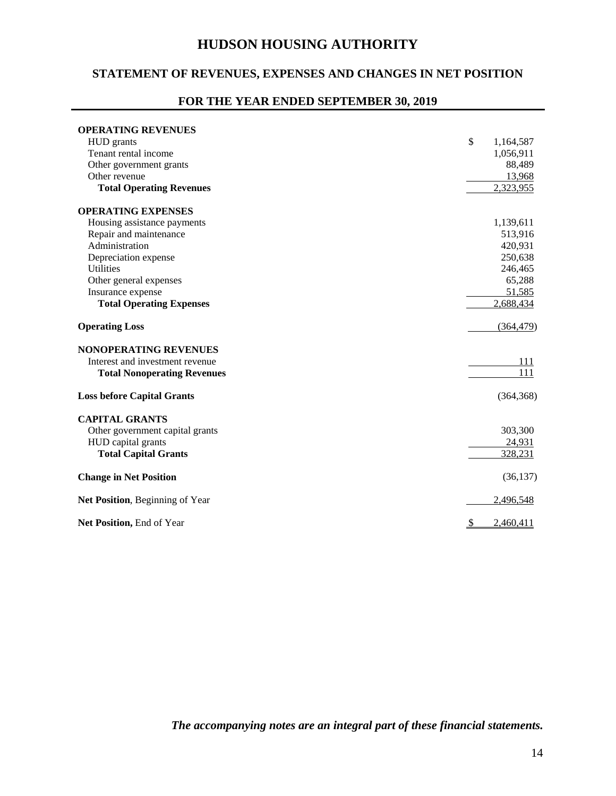## **STATEMENT OF REVENUES, EXPENSES AND CHANGES IN NET POSITION**

## **FOR THE YEAR ENDED SEPTEMBER 30, 2019**

| <b>OPERATING REVENUES</b>          |                        |
|------------------------------------|------------------------|
| <b>HUD</b> grants                  | \$<br>1,164,587        |
| Tenant rental income               | 1,056,911              |
| Other government grants            | 88,489                 |
| Other revenue                      | 13,968                 |
| <b>Total Operating Revenues</b>    | 2,323,955              |
| <b>OPERATING EXPENSES</b>          |                        |
| Housing assistance payments        | 1,139,611              |
| Repair and maintenance             | 513,916                |
| Administration                     | 420,931                |
| Depreciation expense               | 250,638                |
| <b>Utilities</b>                   | 246,465                |
| Other general expenses             | 65,288                 |
| Insurance expense                  | 51,585                 |
| <b>Total Operating Expenses</b>    | 2,688,434              |
| <b>Operating Loss</b>              | (364, 479)             |
| <b>NONOPERATING REVENUES</b>       |                        |
| Interest and investment revenue    | 111                    |
| <b>Total Nonoperating Revenues</b> | 111                    |
| <b>Loss before Capital Grants</b>  | (364, 368)             |
| <b>CAPITAL GRANTS</b>              |                        |
| Other government capital grants    | 303,300                |
| HUD capital grants                 | 24,931                 |
| <b>Total Capital Grants</b>        | 328,231                |
| <b>Change in Net Position</b>      | (36, 137)              |
| Net Position, Beginning of Year    | 2,496,548              |
| Net Position, End of Year          | 2,460,411<br><u>\$</u> |

*The accompanying notes are an integral part of these financial statements.*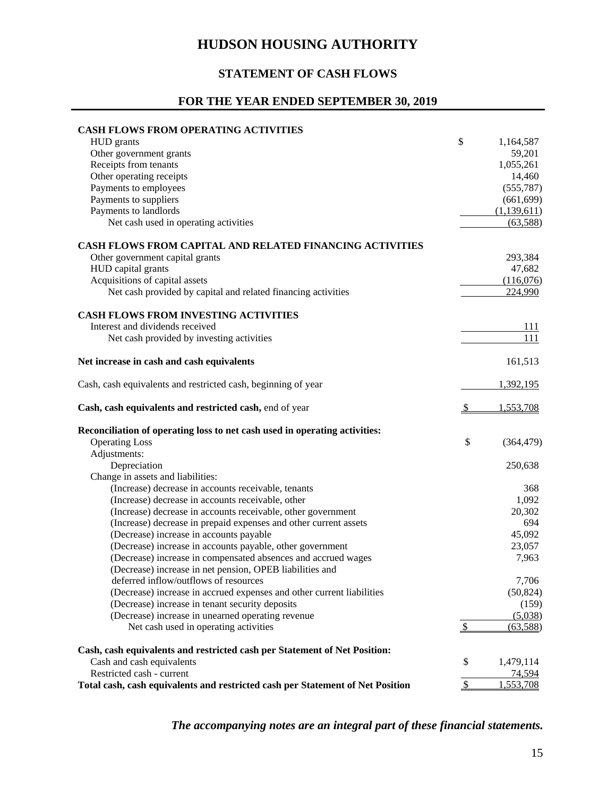# **STATEMENT OF CASH FLOWS**

## **FOR THE YEAR ENDED SEPTEMBER 30, 2019**

| <b>CASH FLOWS FROM OPERATING ACTIVITIES</b>                                    |               |             |
|--------------------------------------------------------------------------------|---------------|-------------|
| HUD grants                                                                     | \$            | 1,164,587   |
| Other government grants                                                        |               | 59,201      |
| Receipts from tenants                                                          |               | 1,055,261   |
| Other operating receipts                                                       |               | 14,460      |
| Payments to employees                                                          |               | (555,787)   |
| Payments to suppliers                                                          |               | (661, 699)  |
| Payments to landlords                                                          |               | (1,139,611) |
| Net cash used in operating activities                                          |               | (63,588)    |
| <b>CASH FLOWS FROM CAPITAL AND RELATED FINANCING ACTIVITIES</b>                |               |             |
| Other government capital grants                                                |               | 293,384     |
| HUD capital grants                                                             |               | 47,682      |
| Acquisitions of capital assets                                                 |               | (116,076)   |
| Net cash provided by capital and related financing activities                  |               | 224,990     |
| <b>CASH FLOWS FROM INVESTING ACTIVITIES</b>                                    |               |             |
| Interest and dividends received                                                |               | 111         |
| Net cash provided by investing activities                                      |               | 111         |
| Net increase in cash and cash equivalents                                      |               | 161,513     |
| Cash, cash equivalents and restricted cash, beginning of year                  |               | 1,392,195   |
| Cash, cash equivalents and restricted cash, end of year                        |               | 1,553,708   |
| Reconciliation of operating loss to net cash used in operating activities:     |               |             |
| <b>Operating Loss</b>                                                          | \$            | (364, 479)  |
| Adjustments:                                                                   |               |             |
| Depreciation                                                                   |               | 250,638     |
| Change in assets and liabilities:                                              |               |             |
| (Increase) decrease in accounts receivable, tenants                            |               | 368         |
| (Increase) decrease in accounts receivable, other                              |               | 1,092       |
| (Increase) decrease in accounts receivable, other government                   |               | 20,302      |
| (Increase) decrease in prepaid expenses and other current assets               |               | 694         |
| (Decrease) increase in accounts payable                                        |               | 45,092      |
| (Decrease) increase in accounts payable, other government                      |               | 23,057      |
| (Decrease) increase in compensated absences and accrued wages                  |               | 7,963       |
| (Decrease) increase in net pension, OPEB liabilities and                       |               |             |
| deferred inflow/outflows of resources                                          |               | 7,706       |
| (Decrease) increase in accrued expenses and other current liabilities          |               | (50, 824)   |
| (Decrease) increase in tenant security deposits                                |               | (159)       |
| (Decrease) increase in unearned operating revenue                              |               | (5,038)     |
| Net cash used in operating activities                                          | $\mathcal{L}$ | (63,588)    |
| Cash, cash equivalents and restricted cash per Statement of Net Position:      |               |             |
| Cash and cash equivalents                                                      | \$            | 1,479,114   |
| Restricted cash - current                                                      |               | 74,594      |
| Total cash, cash equivalents and restricted cash per Statement of Net Position | $\mathcal{S}$ | 1,553,708   |

*The accompanying notes are an integral part of these financial statements.*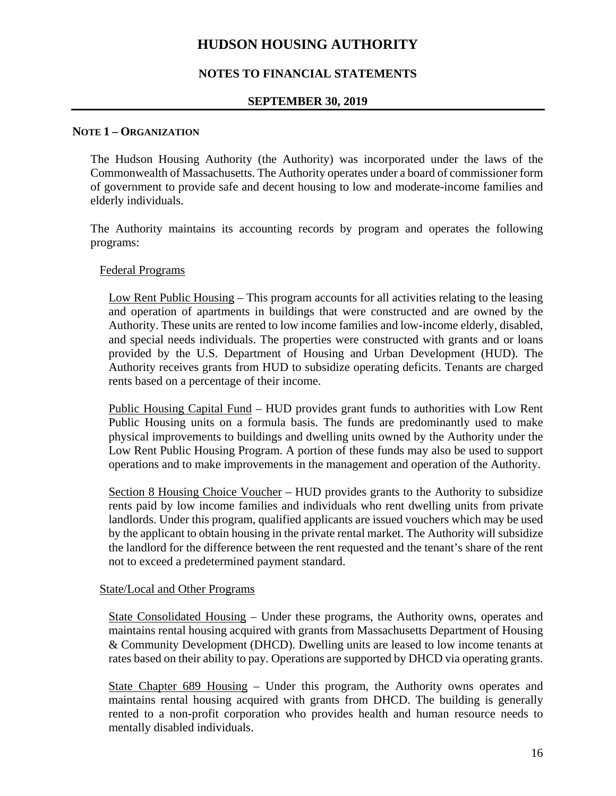### **NOTES TO FINANCIAL STATEMENTS**

#### **SEPTEMBER 30, 2019**

#### **NOTE 1 – ORGANIZATION**

The Hudson Housing Authority (the Authority) was incorporated under the laws of the Commonwealth of Massachusetts. The Authority operates under a board of commissioner form of government to provide safe and decent housing to low and moderate-income families and elderly individuals.

The Authority maintains its accounting records by program and operates the following programs:

#### Federal Programs

Low Rent Public Housing – This program accounts for all activities relating to the leasing and operation of apartments in buildings that were constructed and are owned by the Authority. These units are rented to low income families and low-income elderly, disabled, and special needs individuals. The properties were constructed with grants and or loans provided by the U.S. Department of Housing and Urban Development (HUD). The Authority receives grants from HUD to subsidize operating deficits. Tenants are charged rents based on a percentage of their income.

Public Housing Capital Fund – HUD provides grant funds to authorities with Low Rent Public Housing units on a formula basis. The funds are predominantly used to make physical improvements to buildings and dwelling units owned by the Authority under the Low Rent Public Housing Program. A portion of these funds may also be used to support operations and to make improvements in the management and operation of the Authority.

Section 8 Housing Choice Voucher – HUD provides grants to the Authority to subsidize rents paid by low income families and individuals who rent dwelling units from private landlords. Under this program, qualified applicants are issued vouchers which may be used by the applicant to obtain housing in the private rental market. The Authority will subsidize the landlord for the difference between the rent requested and the tenant's share of the rent not to exceed a predetermined payment standard.

#### State/Local and Other Programs

State Consolidated Housing – Under these programs, the Authority owns, operates and maintains rental housing acquired with grants from Massachusetts Department of Housing & Community Development (DHCD). Dwelling units are leased to low income tenants at rates based on their ability to pay. Operations are supported by DHCD via operating grants.

State Chapter 689 Housing – Under this program, the Authority owns operates and maintains rental housing acquired with grants from DHCD. The building is generally rented to a non-profit corporation who provides health and human resource needs to mentally disabled individuals.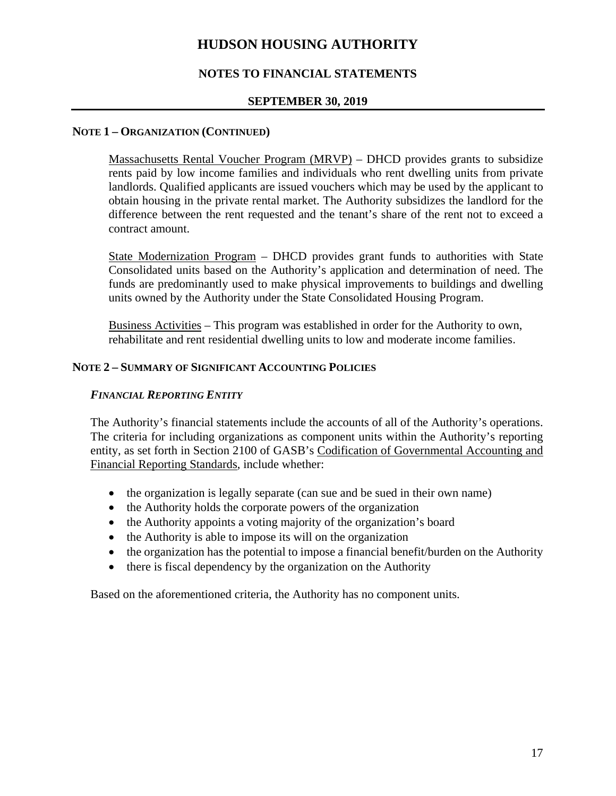## **NOTES TO FINANCIAL STATEMENTS**

### **SEPTEMBER 30, 2019**

#### **NOTE 1 – ORGANIZATION (CONTINUED)**

Massachusetts Rental Voucher Program (MRVP) – DHCD provides grants to subsidize rents paid by low income families and individuals who rent dwelling units from private landlords. Qualified applicants are issued vouchers which may be used by the applicant to obtain housing in the private rental market. The Authority subsidizes the landlord for the difference between the rent requested and the tenant's share of the rent not to exceed a contract amount.

State Modernization Program – DHCD provides grant funds to authorities with State Consolidated units based on the Authority's application and determination of need. The funds are predominantly used to make physical improvements to buildings and dwelling units owned by the Authority under the State Consolidated Housing Program.

Business Activities – This program was established in order for the Authority to own, rehabilitate and rent residential dwelling units to low and moderate income families.

### **NOTE 2 – SUMMARY OF SIGNIFICANT ACCOUNTING POLICIES**

### *FINANCIAL REPORTING ENTITY*

The Authority's financial statements include the accounts of all of the Authority's operations. The criteria for including organizations as component units within the Authority's reporting entity, as set forth in Section 2100 of GASB's Codification of Governmental Accounting and Financial Reporting Standards, include whether:

- the organization is legally separate (can sue and be sued in their own name)
- the Authority holds the corporate powers of the organization
- the Authority appoints a voting majority of the organization's board
- the Authority is able to impose its will on the organization
- the organization has the potential to impose a financial benefit/burden on the Authority
- there is fiscal dependency by the organization on the Authority

Based on the aforementioned criteria, the Authority has no component units.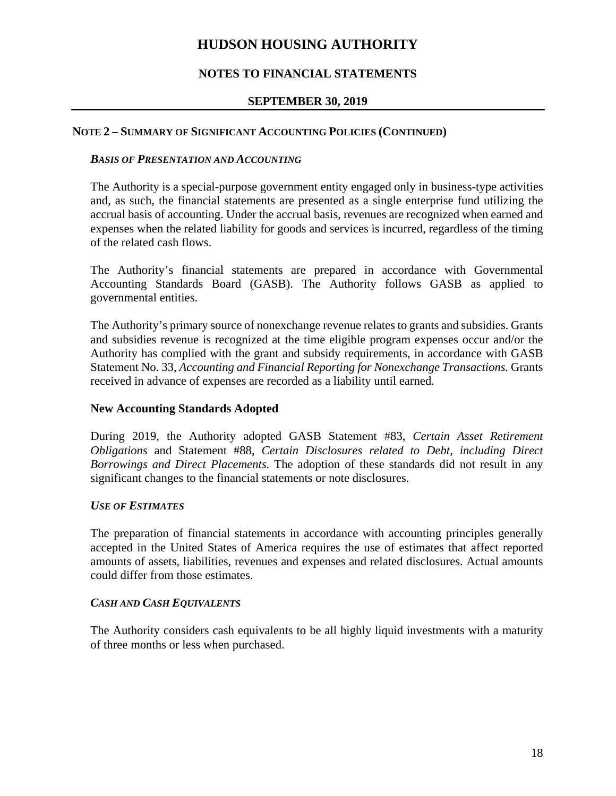## **NOTES TO FINANCIAL STATEMENTS**

### **SEPTEMBER 30, 2019**

### **NOTE 2 – SUMMARY OF SIGNIFICANT ACCOUNTING POLICIES (CONTINUED)**

#### *BASIS OF PRESENTATION AND ACCOUNTING*

The Authority is a special-purpose government entity engaged only in business-type activities and, as such, the financial statements are presented as a single enterprise fund utilizing the accrual basis of accounting. Under the accrual basis, revenues are recognized when earned and expenses when the related liability for goods and services is incurred, regardless of the timing of the related cash flows.

The Authority's financial statements are prepared in accordance with Governmental Accounting Standards Board (GASB). The Authority follows GASB as applied to governmental entities.

The Authority's primary source of nonexchange revenue relates to grants and subsidies. Grants and subsidies revenue is recognized at the time eligible program expenses occur and/or the Authority has complied with the grant and subsidy requirements, in accordance with GASB Statement No. 33, *Accounting and Financial Reporting for Nonexchange Transactions.* Grants received in advance of expenses are recorded as a liability until earned.

### **New Accounting Standards Adopted**

During 2019, the Authority adopted GASB Statement #83, *Certain Asset Retirement Obligations* and Statement #88, *Certain Disclosures related to Debt, including Direct Borrowings and Direct Placements*. The adoption of these standards did not result in any significant changes to the financial statements or note disclosures.

### *USE OF ESTIMATES*

The preparation of financial statements in accordance with accounting principles generally accepted in the United States of America requires the use of estimates that affect reported amounts of assets, liabilities, revenues and expenses and related disclosures. Actual amounts could differ from those estimates.

### *CASH AND CASH EQUIVALENTS*

The Authority considers cash equivalents to be all highly liquid investments with a maturity of three months or less when purchased.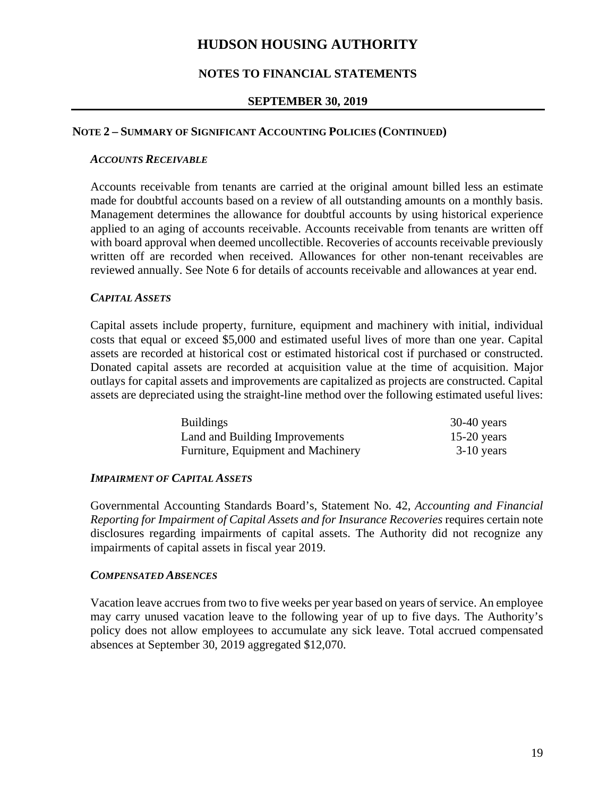## **NOTES TO FINANCIAL STATEMENTS**

#### **SEPTEMBER 30, 2019**

#### **NOTE 2 – SUMMARY OF SIGNIFICANT ACCOUNTING POLICIES (CONTINUED)**

#### *ACCOUNTS RECEIVABLE*

Accounts receivable from tenants are carried at the original amount billed less an estimate made for doubtful accounts based on a review of all outstanding amounts on a monthly basis. Management determines the allowance for doubtful accounts by using historical experience applied to an aging of accounts receivable. Accounts receivable from tenants are written off with board approval when deemed uncollectible. Recoveries of accounts receivable previously written off are recorded when received. Allowances for other non-tenant receivables are reviewed annually. See Note 6 for details of accounts receivable and allowances at year end.

### *CAPITAL ASSETS*

Capital assets include property, furniture, equipment and machinery with initial, individual costs that equal or exceed \$5,000 and estimated useful lives of more than one year. Capital assets are recorded at historical cost or estimated historical cost if purchased or constructed. Donated capital assets are recorded at acquisition value at the time of acquisition. Major outlays for capital assets and improvements are capitalized as projects are constructed. Capital assets are depreciated using the straight-line method over the following estimated useful lives:

| <b>Buildings</b>                   | $30-40$ years |
|------------------------------------|---------------|
| Land and Building Improvements     | $15-20$ years |
| Furniture, Equipment and Machinery | $3-10$ years  |

### *IMPAIRMENT OF CAPITAL ASSETS*

Governmental Accounting Standards Board's, Statement No. 42, *Accounting and Financial Reporting for Impairment of Capital Assets and for Insurance Recoveries* requires certain note disclosures regarding impairments of capital assets. The Authority did not recognize any impairments of capital assets in fiscal year 2019.

#### *COMPENSATED ABSENCES*

Vacation leave accrues from two to five weeks per year based on years of service. An employee may carry unused vacation leave to the following year of up to five days. The Authority's policy does not allow employees to accumulate any sick leave. Total accrued compensated absences at September 30, 2019 aggregated \$12,070.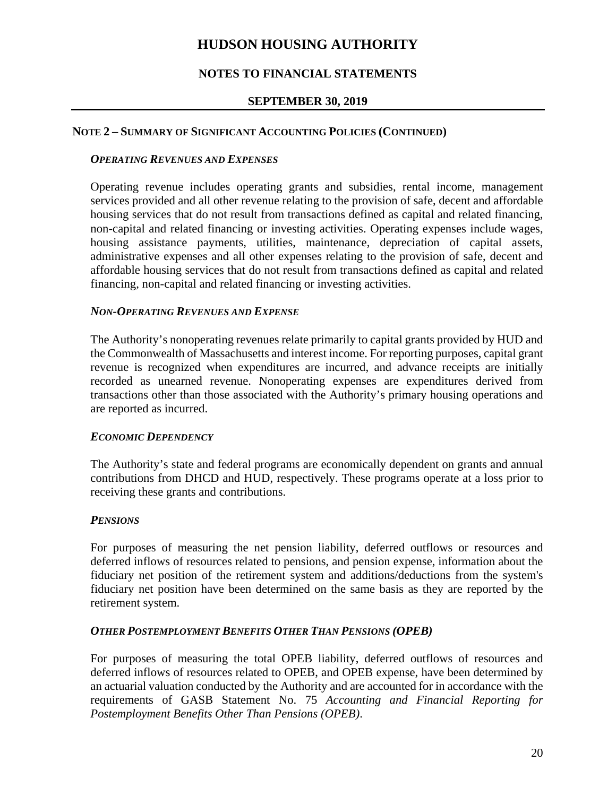## **NOTES TO FINANCIAL STATEMENTS**

### **SEPTEMBER 30, 2019**

#### **NOTE 2 – SUMMARY OF SIGNIFICANT ACCOUNTING POLICIES (CONTINUED)**

#### *OPERATING REVENUES AND EXPENSES*

Operating revenue includes operating grants and subsidies, rental income, management services provided and all other revenue relating to the provision of safe, decent and affordable housing services that do not result from transactions defined as capital and related financing, non-capital and related financing or investing activities. Operating expenses include wages, housing assistance payments, utilities, maintenance, depreciation of capital assets, administrative expenses and all other expenses relating to the provision of safe, decent and affordable housing services that do not result from transactions defined as capital and related financing, non-capital and related financing or investing activities.

### *NON-OPERATING REVENUES AND EXPENSE*

The Authority's nonoperating revenues relate primarily to capital grants provided by HUD and the Commonwealth of Massachusetts and interest income. For reporting purposes, capital grant revenue is recognized when expenditures are incurred, and advance receipts are initially recorded as unearned revenue. Nonoperating expenses are expenditures derived from transactions other than those associated with the Authority's primary housing operations and are reported as incurred.

### *ECONOMIC DEPENDENCY*

The Authority's state and federal programs are economically dependent on grants and annual contributions from DHCD and HUD, respectively. These programs operate at a loss prior to receiving these grants and contributions.

### *PENSIONS*

For purposes of measuring the net pension liability, deferred outflows or resources and deferred inflows of resources related to pensions, and pension expense, information about the fiduciary net position of the retirement system and additions/deductions from the system's fiduciary net position have been determined on the same basis as they are reported by the retirement system.

### *OTHER POSTEMPLOYMENT BENEFITS OTHER THAN PENSIONS (OPEB)*

For purposes of measuring the total OPEB liability, deferred outflows of resources and deferred inflows of resources related to OPEB, and OPEB expense, have been determined by an actuarial valuation conducted by the Authority and are accounted for in accordance with the requirements of GASB Statement No. 75 *Accounting and Financial Reporting for Postemployment Benefits Other Than Pensions (OPEB)*.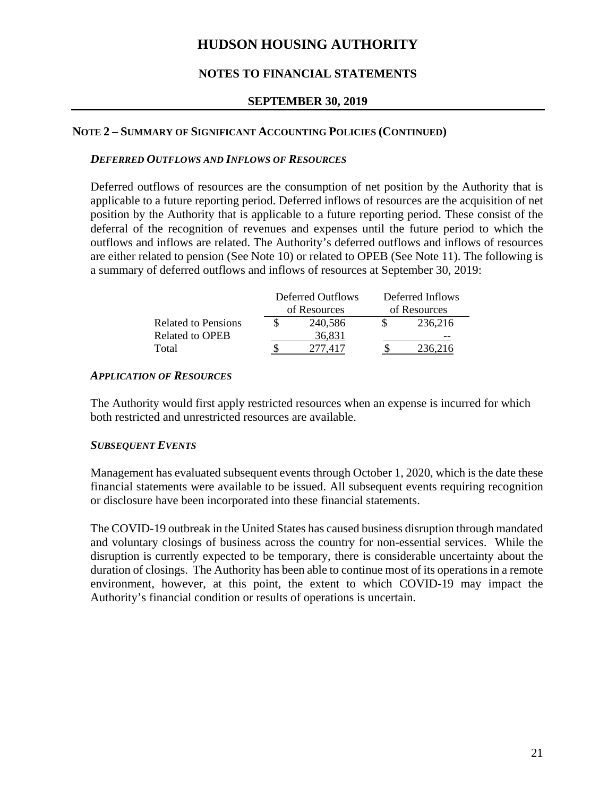## **NOTES TO FINANCIAL STATEMENTS**

### **SEPTEMBER 30, 2019**

### **NOTE 2 – SUMMARY OF SIGNIFICANT ACCOUNTING POLICIES (CONTINUED)**

### *DEFERRED OUTFLOWS AND INFLOWS OF RESOURCES*

Deferred outflows of resources are the consumption of net position by the Authority that is applicable to a future reporting period. Deferred inflows of resources are the acquisition of net position by the Authority that is applicable to a future reporting period. These consist of the deferral of the recognition of revenues and expenses until the future period to which the outflows and inflows are related. The Authority's deferred outflows and inflows of resources are either related to pension (See Note 10) or related to OPEB (See Note 11). The following is a summary of deferred outflows and inflows of resources at September 30, 2019:

|                            | Deferred Outflows |         | Deferred Inflows |
|----------------------------|-------------------|---------|------------------|
|                            | of Resources      |         | of Resources     |
| <b>Related to Pensions</b> |                   | 240,586 | 236.216          |
| <b>Related to OPEB</b>     |                   | 36,831  | --               |
| Total                      |                   |         |                  |

### *APPLICATION OF RESOURCES*

The Authority would first apply restricted resources when an expense is incurred for which both restricted and unrestricted resources are available.

### *SUBSEQUENT EVENTS*

Management has evaluated subsequent events through October 1, 2020, which is the date these financial statements were available to be issued. All subsequent events requiring recognition or disclosure have been incorporated into these financial statements.

The COVID-19 outbreak in the United States has caused business disruption through mandated and voluntary closings of business across the country for non-essential services. While the disruption is currently expected to be temporary, there is considerable uncertainty about the duration of closings. The Authority has been able to continue most of its operations in a remote environment, however, at this point, the extent to which COVID-19 may impact the Authority's financial condition or results of operations is uncertain.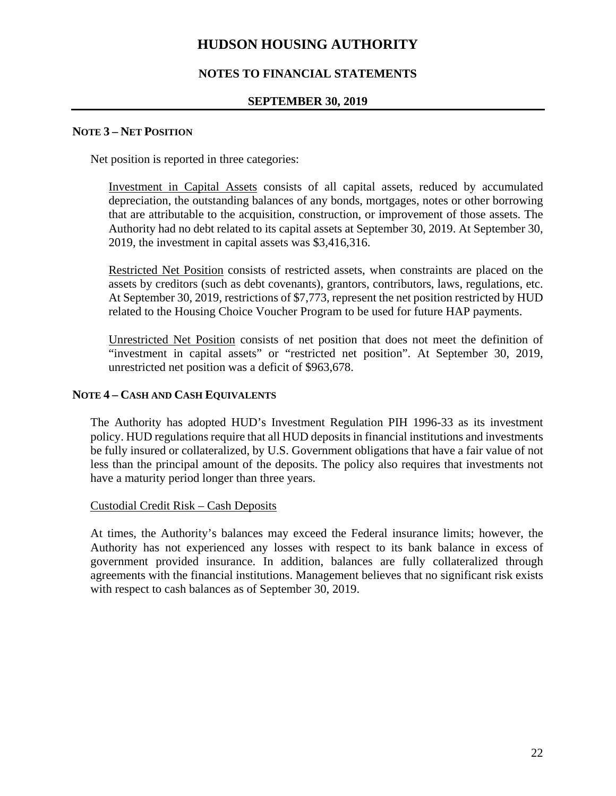## **NOTES TO FINANCIAL STATEMENTS**

### **SEPTEMBER 30, 2019**

#### **NOTE 3 – NET POSITION**

Net position is reported in three categories:

Investment in Capital Assets consists of all capital assets, reduced by accumulated depreciation, the outstanding balances of any bonds, mortgages, notes or other borrowing that are attributable to the acquisition, construction, or improvement of those assets. The Authority had no debt related to its capital assets at September 30, 2019. At September 30, 2019, the investment in capital assets was \$3,416,316.

Restricted Net Position consists of restricted assets, when constraints are placed on the assets by creditors (such as debt covenants), grantors, contributors, laws, regulations, etc. At September 30, 2019, restrictions of \$7,773, represent the net position restricted by HUD related to the Housing Choice Voucher Program to be used for future HAP payments.

Unrestricted Net Position consists of net position that does not meet the definition of "investment in capital assets" or "restricted net position". At September 30, 2019, unrestricted net position was a deficit of \$963,678.

### **NOTE 4 – CASH AND CASH EQUIVALENTS**

The Authority has adopted HUD's Investment Regulation PIH 1996-33 as its investment policy. HUD regulations require that all HUD deposits in financial institutions and investments be fully insured or collateralized, by U.S. Government obligations that have a fair value of not less than the principal amount of the deposits. The policy also requires that investments not have a maturity period longer than three years.

### Custodial Credit Risk – Cash Deposits

At times, the Authority's balances may exceed the Federal insurance limits; however, the Authority has not experienced any losses with respect to its bank balance in excess of government provided insurance. In addition, balances are fully collateralized through agreements with the financial institutions. Management believes that no significant risk exists with respect to cash balances as of September 30, 2019.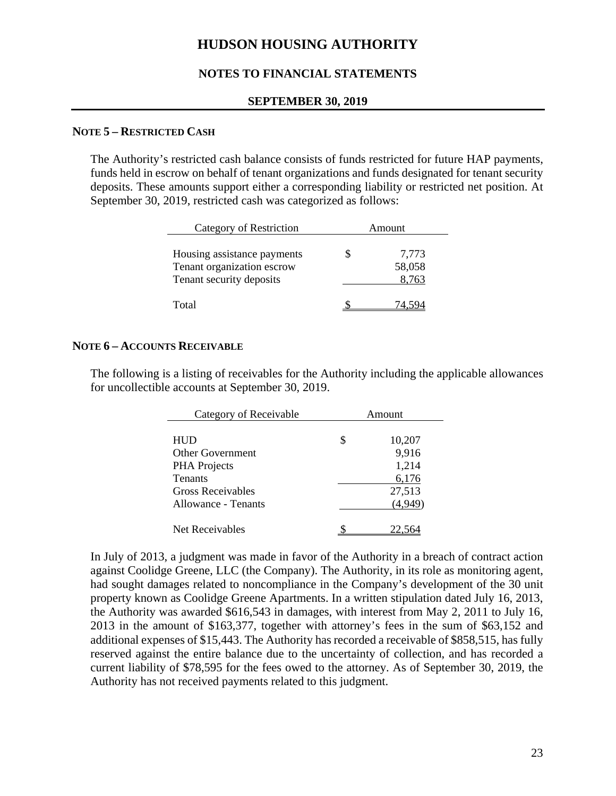### **NOTES TO FINANCIAL STATEMENTS**

#### **SEPTEMBER 30, 2019**

#### **NOTE 5 – RESTRICTED CASH**

The Authority's restricted cash balance consists of funds restricted for future HAP payments, funds held in escrow on behalf of tenant organizations and funds designated for tenant security deposits. These amounts support either a corresponding liability or restricted net position. At September 30, 2019, restricted cash was categorized as follows:

| <b>Category of Restriction</b>                                                        | Amount |                          |  |  |
|---------------------------------------------------------------------------------------|--------|--------------------------|--|--|
| Housing assistance payments<br>Tenant organization escrow<br>Tenant security deposits |        | 7,773<br>58,058<br>8,763 |  |  |
| Total                                                                                 |        | 74 594                   |  |  |

#### **NOTE 6 – ACCOUNTS RECEIVABLE**

The following is a listing of receivables for the Authority including the applicable allowances for uncollectible accounts at September 30, 2019.

| Category of Receivable  | Amount       |
|-------------------------|--------------|
|                         |              |
| HUD                     | \$<br>10,207 |
| <b>Other Government</b> | 9,916        |
| PHA Projects            | 1,214        |
| Tenants                 | 6,176        |
| Gross Receivables       | 27,513       |
| Allowance - Tenants     | (4,949)      |
| Net Receivables         |              |

In July of 2013, a judgment was made in favor of the Authority in a breach of contract action against Coolidge Greene, LLC (the Company). The Authority, in its role as monitoring agent, had sought damages related to noncompliance in the Company's development of the 30 unit property known as Coolidge Greene Apartments. In a written stipulation dated July 16, 2013, the Authority was awarded \$616,543 in damages, with interest from May 2, 2011 to July 16, 2013 in the amount of \$163,377, together with attorney's fees in the sum of \$63,152 and additional expenses of \$15,443. The Authority has recorded a receivable of \$858,515, has fully reserved against the entire balance due to the uncertainty of collection, and has recorded a current liability of \$78,595 for the fees owed to the attorney. As of September 30, 2019, the Authority has not received payments related to this judgment.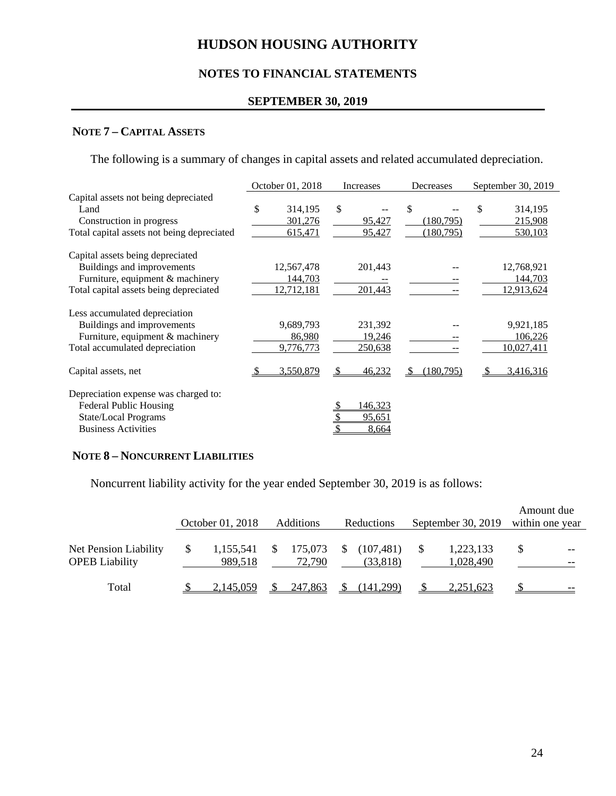# **NOTES TO FINANCIAL STATEMENTS**

### **SEPTEMBER 30, 2019**

### **NOTE 7 – CAPITAL ASSETS**

The following is a summary of changes in capital assets and related accumulated depreciation.

|                                            | October 01, 2018 |    | Increases |               | Decreases  |     | September 30, 2019 |
|--------------------------------------------|------------------|----|-----------|---------------|------------|-----|--------------------|
| Capital assets not being depreciated       |                  |    |           |               |            |     |                    |
| Land                                       | \$<br>314,195    | \$ |           | \$            |            | S   | 314,195            |
| Construction in progress                   | 301,276          |    | 95,427    |               | (180,795)  |     | 215,908            |
| Total capital assets not being depreciated | 615,471          |    | 95,427    |               | (180, 795) |     | 530,103            |
| Capital assets being depreciated           |                  |    |           |               |            |     |                    |
| Buildings and improvements                 | 12,567,478       |    | 201,443   |               |            |     | 12,768,921         |
| Furniture, equipment & machinery           | 144,703          |    |           |               |            |     | 144,703            |
| Total capital assets being depreciated     | 12,712,181       |    | 201,443   |               |            |     | 12,913,624         |
| Less accumulated depreciation              |                  |    |           |               |            |     |                    |
| Buildings and improvements                 | 9,689,793        |    | 231,392   |               |            |     | 9,921,185          |
| Furniture, equipment & machinery           | 86,980           |    | 19,246    |               |            |     | 106,226            |
| Total accumulated depreciation             | 9,776,773        |    | 250,638   |               |            |     | 10,027,411         |
| Capital assets, net                        | 3,550,879        | S. | 46,232    | <sup>\$</sup> | (180,795)  | -SS | 3,416,316          |
| Depreciation expense was charged to:       |                  |    |           |               |            |     |                    |
| <b>Federal Public Housing</b>              |                  |    | 146,323   |               |            |     |                    |
| <b>State/Local Programs</b>                |                  |    | 95,651    |               |            |     |                    |
| <b>Business Activities</b>                 |                  |    | 8,664     |               |            |     |                    |

# **NOTE 8 – NONCURRENT LIABILITIES**

Noncurrent liability activity for the year ended September 30, 2019 is as follows:

|                                                |              | October 01, 2018     |              | Additions | Reductions                       | September 30, 2019     |               | Amount due<br>within one year |
|------------------------------------------------|--------------|----------------------|--------------|-----------|----------------------------------|------------------------|---------------|-------------------------------|
| Net Pension Liability<br><b>OPEB</b> Liability | <sup>S</sup> | 1,155,541<br>989,518 | $\mathbb{S}$ | 72,790    | 175,073 \$ (107,481)<br>(33,818) | 1,223,133<br>1,028,490 | <sup>\$</sup> | $- -$<br>$- -$                |
| Total                                          |              | 2.145.059            |              | 247,863   | $\frac{1}{2}$ (141,299)          | 2,251,623              |               | $- -$                         |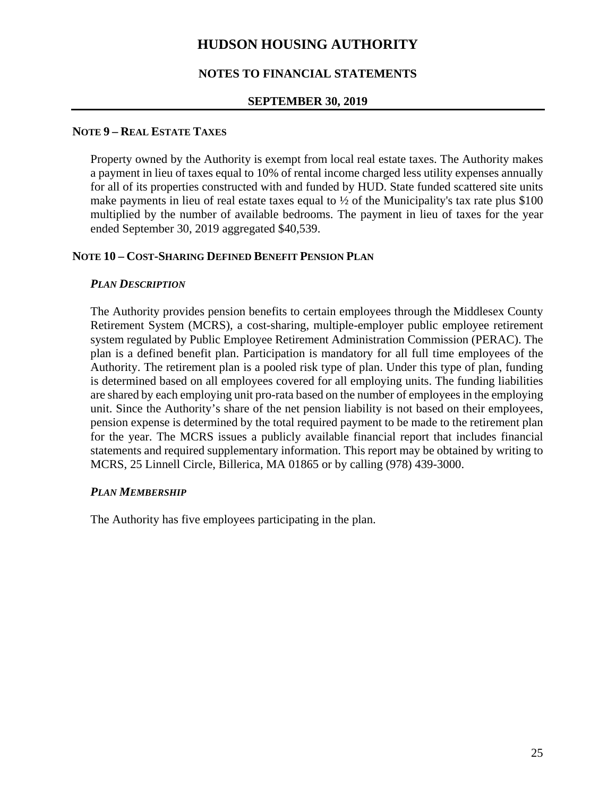## **NOTES TO FINANCIAL STATEMENTS**

### **SEPTEMBER 30, 2019**

#### **NOTE 9 – REAL ESTATE TAXES**

Property owned by the Authority is exempt from local real estate taxes. The Authority makes a payment in lieu of taxes equal to 10% of rental income charged less utility expenses annually for all of its properties constructed with and funded by HUD. State funded scattered site units make payments in lieu of real estate taxes equal to  $\frac{1}{2}$  of the Municipality's tax rate plus \$100 multiplied by the number of available bedrooms. The payment in lieu of taxes for the year ended September 30, 2019 aggregated \$40,539.

### **NOTE 10 – COST-SHARING DEFINED BENEFIT PENSION PLAN**

#### *PLAN DESCRIPTION*

The Authority provides pension benefits to certain employees through the Middlesex County Retirement System (MCRS), a cost-sharing, multiple-employer public employee retirement system regulated by Public Employee Retirement Administration Commission (PERAC). The plan is a defined benefit plan. Participation is mandatory for all full time employees of the Authority. The retirement plan is a pooled risk type of plan. Under this type of plan, funding is determined based on all employees covered for all employing units. The funding liabilities are shared by each employing unit pro-rata based on the number of employees in the employing unit. Since the Authority's share of the net pension liability is not based on their employees, pension expense is determined by the total required payment to be made to the retirement plan for the year. The MCRS issues a publicly available financial report that includes financial statements and required supplementary information. This report may be obtained by writing to MCRS, 25 Linnell Circle, Billerica, MA 01865 or by calling (978) 439-3000.

### *PLAN MEMBERSHIP*

The Authority has five employees participating in the plan.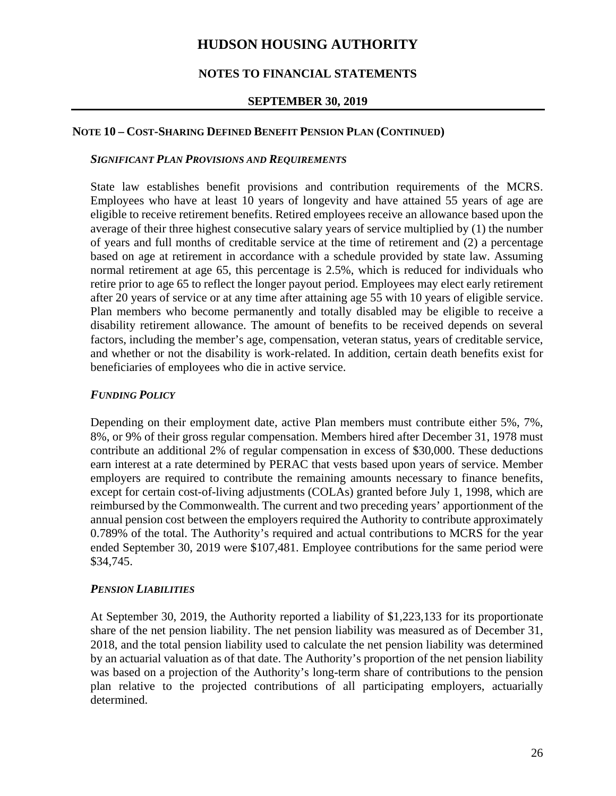### **NOTES TO FINANCIAL STATEMENTS**

#### **SEPTEMBER 30, 2019**

#### **NOTE 10 – COST-SHARING DEFINED BENEFIT PENSION PLAN (CONTINUED)**

#### *SIGNIFICANT PLAN PROVISIONS AND REQUIREMENTS*

State law establishes benefit provisions and contribution requirements of the MCRS. Employees who have at least 10 years of longevity and have attained 55 years of age are eligible to receive retirement benefits. Retired employees receive an allowance based upon the average of their three highest consecutive salary years of service multiplied by (1) the number of years and full months of creditable service at the time of retirement and (2) a percentage based on age at retirement in accordance with a schedule provided by state law. Assuming normal retirement at age 65, this percentage is 2.5%, which is reduced for individuals who retire prior to age 65 to reflect the longer payout period. Employees may elect early retirement after 20 years of service or at any time after attaining age 55 with 10 years of eligible service. Plan members who become permanently and totally disabled may be eligible to receive a disability retirement allowance. The amount of benefits to be received depends on several factors, including the member's age, compensation, veteran status, years of creditable service, and whether or not the disability is work-related. In addition, certain death benefits exist for beneficiaries of employees who die in active service.

### *FUNDING POLICY*

Depending on their employment date, active Plan members must contribute either 5%, 7%, 8%, or 9% of their gross regular compensation. Members hired after December 31, 1978 must contribute an additional 2% of regular compensation in excess of \$30,000. These deductions earn interest at a rate determined by PERAC that vests based upon years of service. Member employers are required to contribute the remaining amounts necessary to finance benefits, except for certain cost-of-living adjustments (COLAs) granted before July 1, 1998, which are reimbursed by the Commonwealth. The current and two preceding years' apportionment of the annual pension cost between the employers required the Authority to contribute approximately 0.789% of the total. The Authority's required and actual contributions to MCRS for the year ended September 30, 2019 were \$107,481. Employee contributions for the same period were \$34,745.

### *PENSION LIABILITIES*

At September 30, 2019, the Authority reported a liability of \$1,223,133 for its proportionate share of the net pension liability. The net pension liability was measured as of December 31, 2018, and the total pension liability used to calculate the net pension liability was determined by an actuarial valuation as of that date. The Authority's proportion of the net pension liability was based on a projection of the Authority's long-term share of contributions to the pension plan relative to the projected contributions of all participating employers, actuarially determined.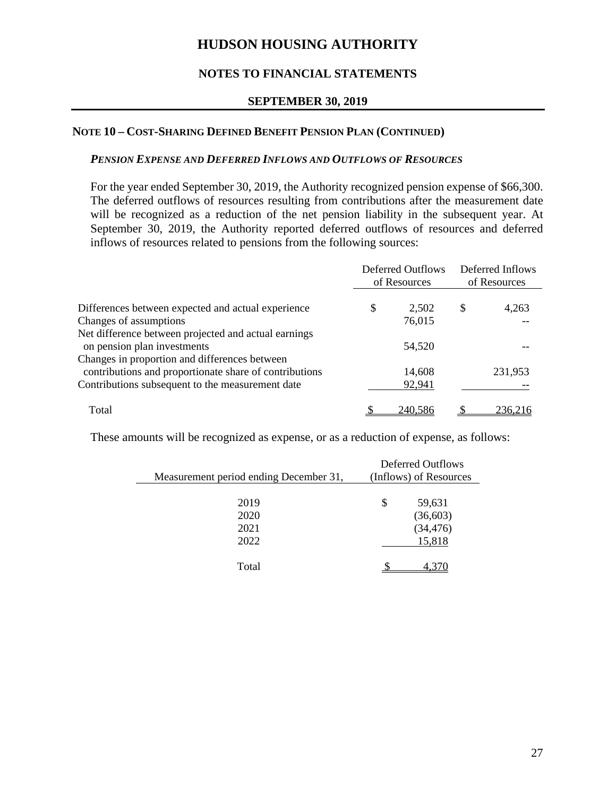## **NOTES TO FINANCIAL STATEMENTS**

#### **SEPTEMBER 30, 2019**

### **NOTE 10 – COST-SHARING DEFINED BENEFIT PENSION PLAN (CONTINUED)**

#### *PENSION EXPENSE AND DEFERRED INFLOWS AND OUTFLOWS OF RESOURCES*

For the year ended September 30, 2019, the Authority recognized pension expense of \$66,300. The deferred outflows of resources resulting from contributions after the measurement date will be recognized as a reduction of the net pension liability in the subsequent year. At September 30, 2019, the Authority reported deferred outflows of resources and deferred inflows of resources related to pensions from the following sources:

|                                                                                                                                      | <b>Deferred Outflows</b><br>of Resources |         | Deferred Inflows<br>of Resources |         |
|--------------------------------------------------------------------------------------------------------------------------------------|------------------------------------------|---------|----------------------------------|---------|
| Differences between expected and actual experience                                                                                   | \$                                       | 2,502   | S                                | 4,263   |
| Changes of assumptions                                                                                                               |                                          | 76,015  |                                  |         |
| Net difference between projected and actual earnings<br>on pension plan investments<br>Changes in proportion and differences between |                                          | 54,520  |                                  |         |
| contributions and proportionate share of contributions                                                                               |                                          | 14,608  |                                  | 231,953 |
| Contributions subsequent to the measurement date                                                                                     |                                          | 92,941  |                                  |         |
| Total                                                                                                                                |                                          | 240,586 |                                  | 236.216 |

These amounts will be recognized as expense, or as a reduction of expense, as follows:

| Measurement period ending December 31, | Deferred Outflows<br>(Inflows) of Resources     |
|----------------------------------------|-------------------------------------------------|
| 2019<br>2020<br>2021<br>2022           | \$<br>59,631<br>(36,603)<br>(34, 476)<br>15,818 |
| Total                                  |                                                 |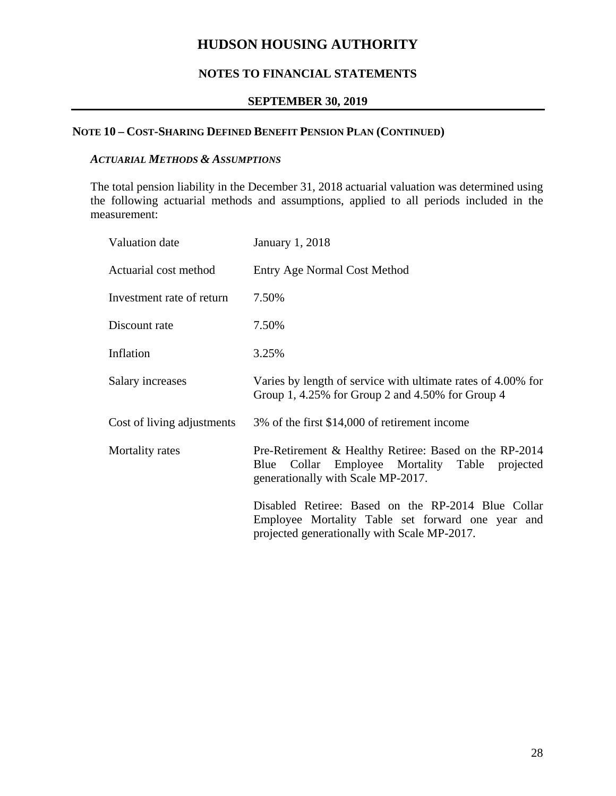# **NOTES TO FINANCIAL STATEMENTS**

### **SEPTEMBER 30, 2019**

## **NOTE 10 – COST-SHARING DEFINED BENEFIT PENSION PLAN (CONTINUED)**

### *ACTUARIAL METHODS & ASSUMPTIONS*

The total pension liability in the December 31, 2018 actuarial valuation was determined using the following actuarial methods and assumptions, applied to all periods included in the measurement:

| Valuation date             | <b>January 1, 2018</b>                                                                                                                                  |
|----------------------------|---------------------------------------------------------------------------------------------------------------------------------------------------------|
| Actuarial cost method      | Entry Age Normal Cost Method                                                                                                                            |
| Investment rate of return  | 7.50%                                                                                                                                                   |
| Discount rate              | 7.50%                                                                                                                                                   |
| Inflation                  | 3.25%                                                                                                                                                   |
| Salary increases           | Varies by length of service with ultimate rates of 4.00% for<br>Group 1, 4.25% for Group 2 and 4.50% for Group 4                                        |
| Cost of living adjustments | 3% of the first \$14,000 of retirement income                                                                                                           |
| Mortality rates            | Pre-Retirement & Healthy Retiree: Based on the RP-2014<br>Employee Mortality Table projected<br>Collar<br>Blue<br>generationally with Scale MP-2017.    |
|                            | Disabled Retiree: Based on the RP-2014 Blue Collar<br>Employee Mortality Table set forward one year and<br>projected generationally with Scale MP-2017. |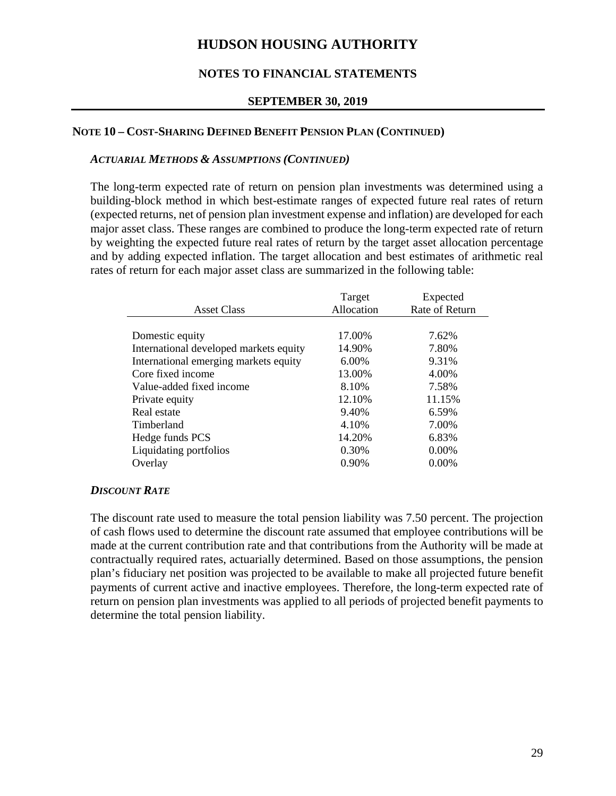### **NOTES TO FINANCIAL STATEMENTS**

#### **SEPTEMBER 30, 2019**

### **NOTE 10 – COST-SHARING DEFINED BENEFIT PENSION PLAN (CONTINUED)**

#### *ACTUARIAL METHODS & ASSUMPTIONS (CONTINUED)*

The long-term expected rate of return on pension plan investments was determined using a building-block method in which best-estimate ranges of expected future real rates of return (expected returns, net of pension plan investment expense and inflation) are developed for each major asset class. These ranges are combined to produce the long-term expected rate of return by weighting the expected future real rates of return by the target asset allocation percentage and by adding expected inflation. The target allocation and best estimates of arithmetic real rates of return for each major asset class are summarized in the following table:

|                                        | Target     | Expected       |
|----------------------------------------|------------|----------------|
| <b>Asset Class</b>                     | Allocation | Rate of Return |
|                                        |            |                |
| Domestic equity                        | 17.00%     | 7.62%          |
| International developed markets equity | 14.90%     | 7.80%          |
| International emerging markets equity  | $6.00\%$   | 9.31%          |
| Core fixed income                      | 13.00%     | 4.00%          |
| Value-added fixed income               | 8.10%      | 7.58%          |
| Private equity                         | 12.10%     | 11.15%         |
| Real estate                            | 9.40%      | 6.59%          |
| Timberland                             | 4.10%      | 7.00%          |
| Hedge funds PCS                        | 14.20%     | 6.83%          |
| Liquidating portfolios                 | 0.30%      | $0.00\%$       |
| Overlay                                | 0.90%      | 0.00%          |
|                                        |            |                |

#### *DISCOUNT RATE*

The discount rate used to measure the total pension liability was 7.50 percent. The projection of cash flows used to determine the discount rate assumed that employee contributions will be made at the current contribution rate and that contributions from the Authority will be made at contractually required rates, actuarially determined. Based on those assumptions, the pension plan's fiduciary net position was projected to be available to make all projected future benefit payments of current active and inactive employees. Therefore, the long-term expected rate of return on pension plan investments was applied to all periods of projected benefit payments to determine the total pension liability.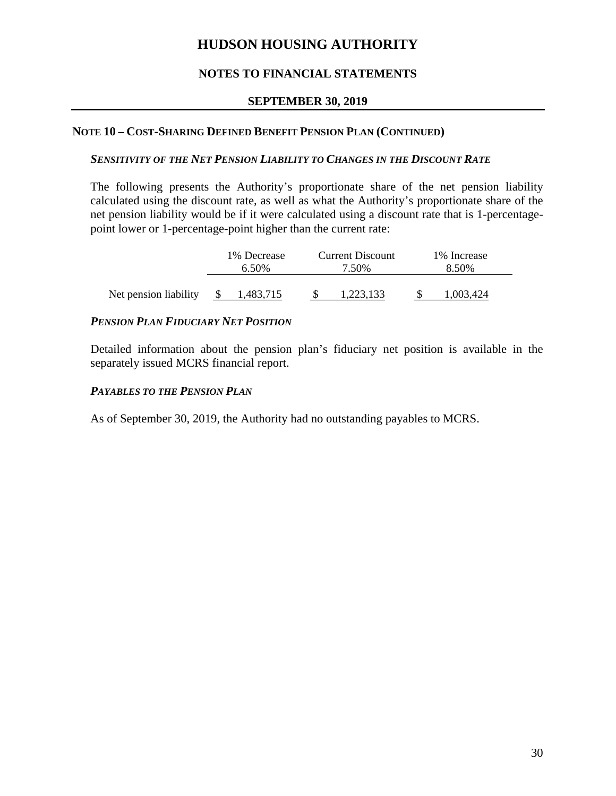## **NOTES TO FINANCIAL STATEMENTS**

### **SEPTEMBER 30, 2019**

### **NOTE 10 – COST-SHARING DEFINED BENEFIT PENSION PLAN (CONTINUED)**

### *SENSITIVITY OF THE NET PENSION LIABILITY TO CHANGES IN THE DISCOUNT RATE*

The following presents the Authority's proportionate share of the net pension liability calculated using the discount rate, as well as what the Authority's proportionate share of the net pension liability would be if it were calculated using a discount rate that is 1-percentagepoint lower or 1-percentage-point higher than the current rate:

|                       | 1% Decrease       | <b>Current Discount</b> | 1\% Increase |  |  |
|-----------------------|-------------------|-------------------------|--------------|--|--|
|                       | $6.50\%$          | 7.50%                   | 8.50%        |  |  |
| Net pension liability | - SS<br>1,483,715 | 1.223.133               | 1,003,424    |  |  |

### *PENSION PLAN FIDUCIARY NET POSITION*

Detailed information about the pension plan's fiduciary net position is available in the separately issued MCRS financial report.

### *PAYABLES TO THE PENSION PLAN*

As of September 30, 2019, the Authority had no outstanding payables to MCRS.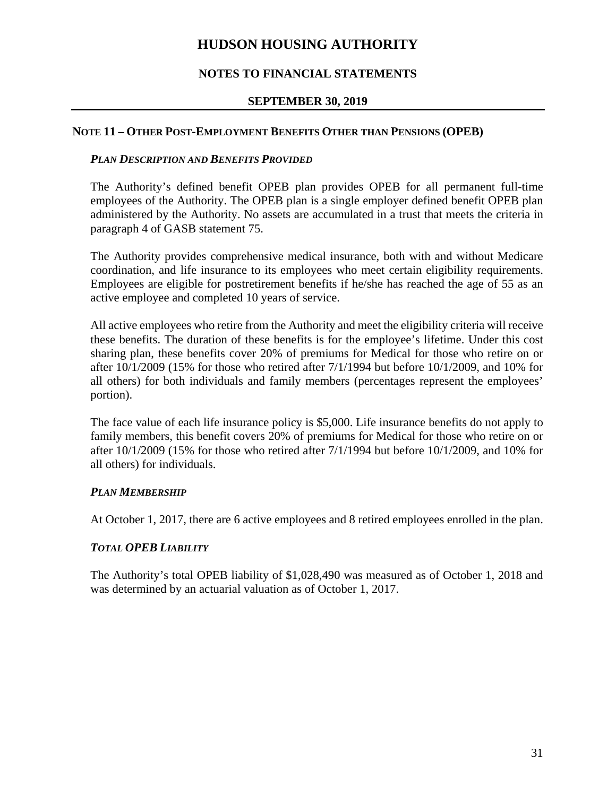## **NOTES TO FINANCIAL STATEMENTS**

### **SEPTEMBER 30, 2019**

### **NOTE 11 – OTHER POST-EMPLOYMENT BENEFITS OTHER THAN PENSIONS (OPEB)**

### *PLAN DESCRIPTION AND BENEFITS PROVIDED*

The Authority's defined benefit OPEB plan provides OPEB for all permanent full-time employees of the Authority. The OPEB plan is a single employer defined benefit OPEB plan administered by the Authority. No assets are accumulated in a trust that meets the criteria in paragraph 4 of GASB statement 75.

The Authority provides comprehensive medical insurance, both with and without Medicare coordination, and life insurance to its employees who meet certain eligibility requirements. Employees are eligible for postretirement benefits if he/she has reached the age of 55 as an active employee and completed 10 years of service.

All active employees who retire from the Authority and meet the eligibility criteria will receive these benefits. The duration of these benefits is for the employee's lifetime. Under this cost sharing plan, these benefits cover 20% of premiums for Medical for those who retire on or after 10/1/2009 (15% for those who retired after 7/1/1994 but before 10/1/2009, and 10% for all others) for both individuals and family members (percentages represent the employees' portion).

The face value of each life insurance policy is \$5,000. Life insurance benefits do not apply to family members, this benefit covers 20% of premiums for Medical for those who retire on or after 10/1/2009 (15% for those who retired after 7/1/1994 but before 10/1/2009, and 10% for all others) for individuals.

## *PLAN MEMBERSHIP*

At October 1, 2017, there are 6 active employees and 8 retired employees enrolled in the plan.

## *TOTAL OPEB LIABILITY*

The Authority's total OPEB liability of \$1,028,490 was measured as of October 1, 2018 and was determined by an actuarial valuation as of October 1, 2017.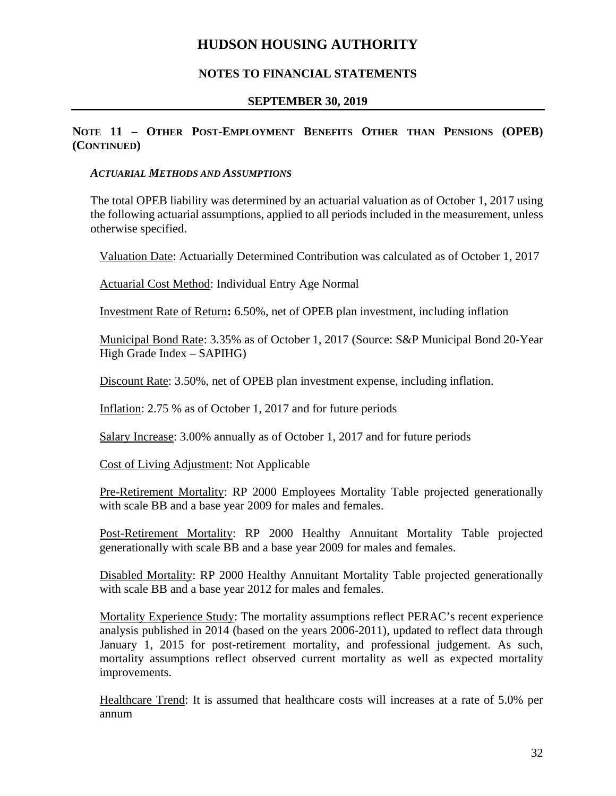### **NOTES TO FINANCIAL STATEMENTS**

#### **SEPTEMBER 30, 2019**

#### **NOTE 11 – OTHER POST-EMPLOYMENT BENEFITS OTHER THAN PENSIONS (OPEB) (CONTINUED)**

#### *ACTUARIAL METHODS AND ASSUMPTIONS*

The total OPEB liability was determined by an actuarial valuation as of October 1, 2017 using the following actuarial assumptions, applied to all periods included in the measurement, unless otherwise specified.

Valuation Date: Actuarially Determined Contribution was calculated as of October 1, 2017

Actuarial Cost Method: Individual Entry Age Normal

Investment Rate of Return**:** 6.50%, net of OPEB plan investment, including inflation

Municipal Bond Rate: 3.35% as of October 1, 2017 (Source: S&P Municipal Bond 20-Year High Grade Index – SAPIHG)

Discount Rate: 3.50%, net of OPEB plan investment expense, including inflation.

Inflation: 2.75 % as of October 1, 2017 and for future periods

Salary Increase: 3.00% annually as of October 1, 2017 and for future periods

Cost of Living Adjustment: Not Applicable

Pre-Retirement Mortality: RP 2000 Employees Mortality Table projected generationally with scale BB and a base year 2009 for males and females.

Post-Retirement Mortality: RP 2000 Healthy Annuitant Mortality Table projected generationally with scale BB and a base year 2009 for males and females.

Disabled Mortality: RP 2000 Healthy Annuitant Mortality Table projected generationally with scale BB and a base year 2012 for males and females.

Mortality Experience Study: The mortality assumptions reflect PERAC's recent experience analysis published in 2014 (based on the years 2006-2011), updated to reflect data through January 1, 2015 for post-retirement mortality, and professional judgement. As such, mortality assumptions reflect observed current mortality as well as expected mortality improvements.

Healthcare Trend: It is assumed that healthcare costs will increases at a rate of 5.0% per annum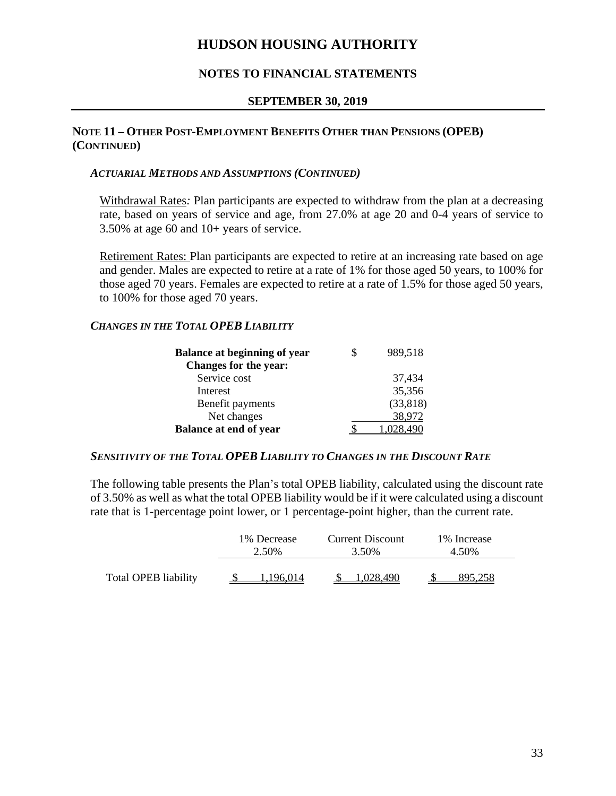## **NOTES TO FINANCIAL STATEMENTS**

### **SEPTEMBER 30, 2019**

#### **NOTE 11 – OTHER POST-EMPLOYMENT BENEFITS OTHER THAN PENSIONS (OPEB) (CONTINUED)**

#### *ACTUARIAL METHODS AND ASSUMPTIONS (CONTINUED)*

Withdrawal Rates*:* Plan participants are expected to withdraw from the plan at a decreasing rate, based on years of service and age, from 27.0% at age 20 and 0-4 years of service to 3.50% at age 60 and 10+ years of service.

Retirement Rates: Plan participants are expected to retire at an increasing rate based on age and gender. Males are expected to retire at a rate of 1% for those aged 50 years, to 100% for those aged 70 years. Females are expected to retire at a rate of 1.5% for those aged 50 years, to 100% for those aged 70 years.

### *CHANGES IN THE TOTAL OPEB LIABILITY*

| <b>Balance at beginning of year</b> | S | 989,518   |
|-------------------------------------|---|-----------|
| Changes for the year:               |   |           |
| Service cost                        |   | 37,434    |
| Interest                            |   | 35,356    |
| Benefit payments                    |   | (33, 818) |
| Net changes                         |   | 38,972    |
| <b>Balance at end of year</b>       |   |           |

#### *SENSITIVITY OF THE TOTAL OPEB LIABILITY TO CHANGES IN THE DISCOUNT RATE*

The following table presents the Plan's total OPEB liability, calculated using the discount rate of 3.50% as well as what the total OPEB liability would be if it were calculated using a discount rate that is 1-percentage point lower, or 1 percentage-point higher, than the current rate.

|                             | 1\% Decrease | <b>Current Discount</b> | 1\% Increase |  |
|-----------------------------|--------------|-------------------------|--------------|--|
|                             | 2.50%        | 3.50%                   | 4.50%        |  |
| <b>Total OPEB liability</b> | .196.014     | 1.028.490               | 895.258      |  |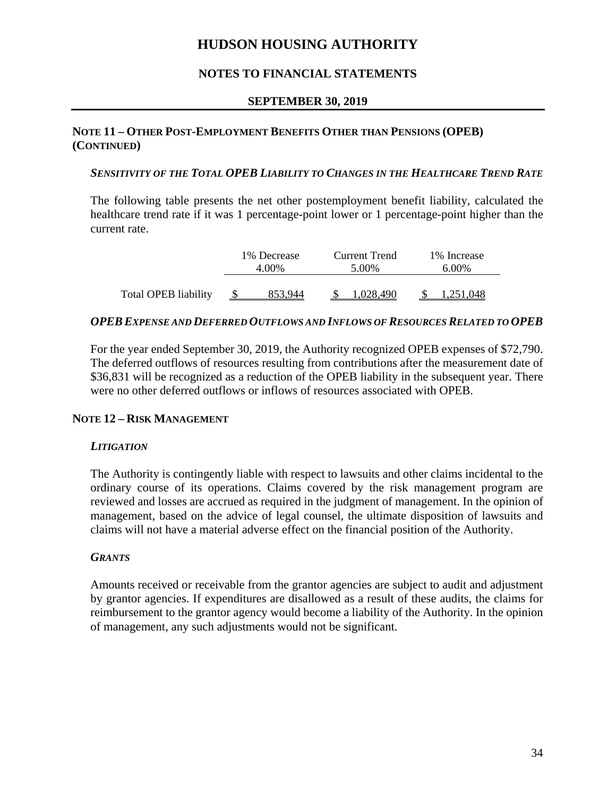## **NOTES TO FINANCIAL STATEMENTS**

### **SEPTEMBER 30, 2019**

### **NOTE 11 – OTHER POST-EMPLOYMENT BENEFITS OTHER THAN PENSIONS (OPEB) (CONTINUED)**

#### *SENSITIVITY OF THE TOTAL OPEB LIABILITY TO CHANGES IN THE HEALTHCARE TREND RATE*

The following table presents the net other postemployment benefit liability, calculated the healthcare trend rate if it was 1 percentage-point lower or 1 percentage-point higher than the current rate.

|                             | 1\% Decrease | Current Trend | 1\% Increase |  |  |
|-----------------------------|--------------|---------------|--------------|--|--|
|                             | 4.00%        | 5.00%         | $6.00\%$     |  |  |
| <b>Total OPEB liability</b> | 853,944      | .028.490      | .251,048     |  |  |

#### *OPEBEXPENSE AND DEFERRED OUTFLOWS AND INFLOWS OF RESOURCES RELATED TO OPEB*

For the year ended September 30, 2019, the Authority recognized OPEB expenses of \$72,790. The deferred outflows of resources resulting from contributions after the measurement date of \$36,831 will be recognized as a reduction of the OPEB liability in the subsequent year. There were no other deferred outflows or inflows of resources associated with OPEB.

### **NOTE 12 – RISK MANAGEMENT**

### *LITIGATION*

The Authority is contingently liable with respect to lawsuits and other claims incidental to the ordinary course of its operations. Claims covered by the risk management program are reviewed and losses are accrued as required in the judgment of management. In the opinion of management, based on the advice of legal counsel, the ultimate disposition of lawsuits and claims will not have a material adverse effect on the financial position of the Authority.

#### *GRANTS*

Amounts received or receivable from the grantor agencies are subject to audit and adjustment by grantor agencies. If expenditures are disallowed as a result of these audits, the claims for reimbursement to the grantor agency would become a liability of the Authority. In the opinion of management, any such adjustments would not be significant.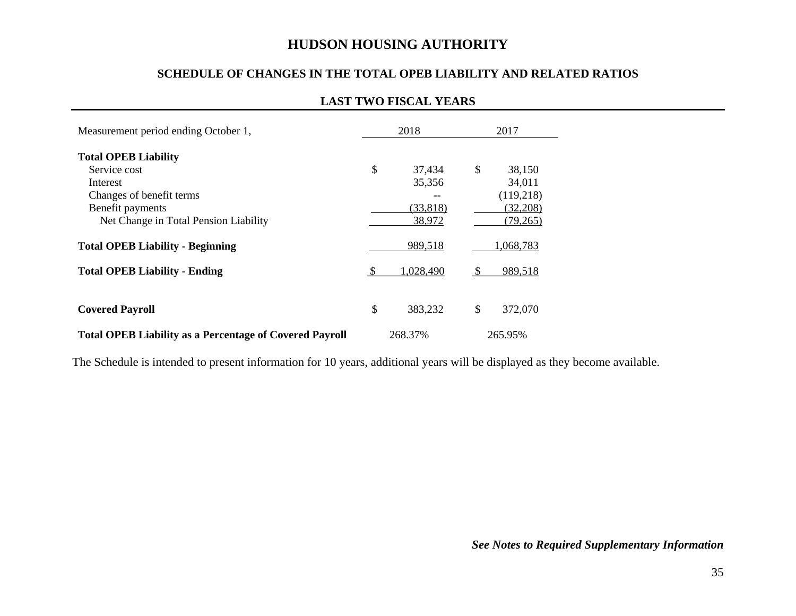### **SCHEDULE OF CHANGES IN THE TOTAL OPEB LIABILITY AND RELATED RATIOS**

| Measurement period ending October 1,                                                                    |    | 2018                         | 2017                                            |
|---------------------------------------------------------------------------------------------------------|----|------------------------------|-------------------------------------------------|
| <b>Total OPEB Liability</b><br>Service cost<br>Interest<br>Changes of benefit terms<br>Benefit payments | \$ | 37,434<br>35,356<br>(33,818) | \$<br>38,150<br>34,011<br>(119,218)<br>(32,208) |
| Net Change in Total Pension Liability                                                                   |    | 38,972                       | (79,265)                                        |
| <b>Total OPEB Liability - Beginning</b>                                                                 |    | 989,518                      | 1,068,783                                       |
| <b>Total OPEB Liability - Ending</b>                                                                    |    | 1,028,490                    | 989,518                                         |
| <b>Covered Payroll</b>                                                                                  | \$ | 383,232                      | \$<br>372,070                                   |
| <b>Total OPEB Liability as a Percentage of Covered Payroll</b>                                          |    | 268.37%                      | 265.95%                                         |

#### **LAST TWO FISCAL YEARS**

The Schedule is intended to present information for 10 years, additional years will be displayed as they become available.

*See Notes to Required Supplementary Information*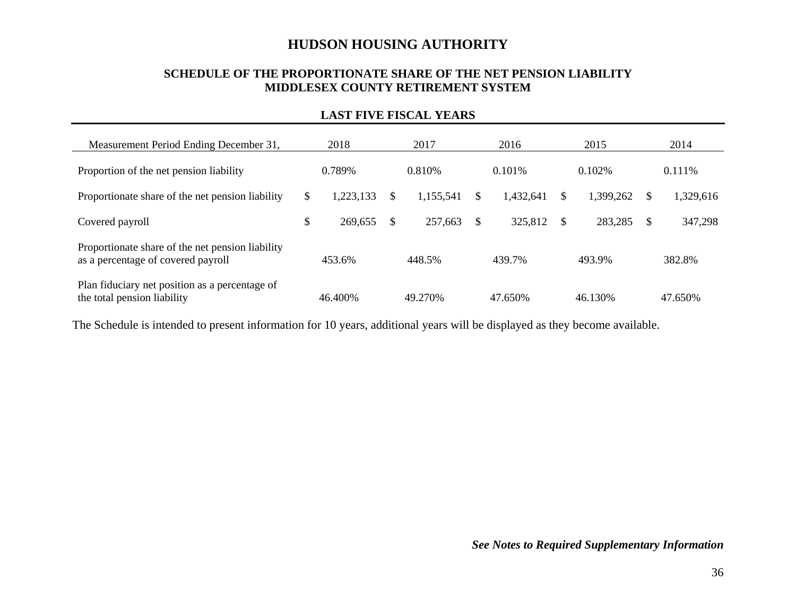### **SCHEDULE OF THE PROPORTIONATE SHARE OF THE NET PENSION LIABILITY MIDDLESEX COUNTY RETIREMENT SYSTEM**

| Measurement Period Ending December 31,                                                 | 2018            | 2017            | 2016            | 2015            |               | 2014      |
|----------------------------------------------------------------------------------------|-----------------|-----------------|-----------------|-----------------|---------------|-----------|
| Proportion of the net pension liability                                                | 0.789%          | 0.810%          | 0.101%          | 0.102%          |               | 0.111%    |
| Proportionate share of the net pension liability                                       | \$<br>1,223,133 | \$<br>1,155,541 | \$<br>1,432,641 | \$<br>1,399,262 | $\mathbb{S}$  | 1,329,616 |
| Covered payroll                                                                        | \$<br>269,655   | \$<br>257,663   | \$<br>325,812   | \$<br>283,285   | <sup>\$</sup> | 347,298   |
| Proportionate share of the net pension liability<br>as a percentage of covered payroll | 453.6%          | 448.5%          | 439.7%          | 493.9%          |               | 382.8%    |
| Plan fiduciary net position as a percentage of<br>the total pension liability          | 46.400%         | 49.270%         | 47.650%         | 46.130%         |               | 47.650%   |

#### **LAST FIVE FISCAL YEARS**

 $\blacksquare$ 

The Schedule is intended to present information for 10 years, additional years will be displayed as they become available.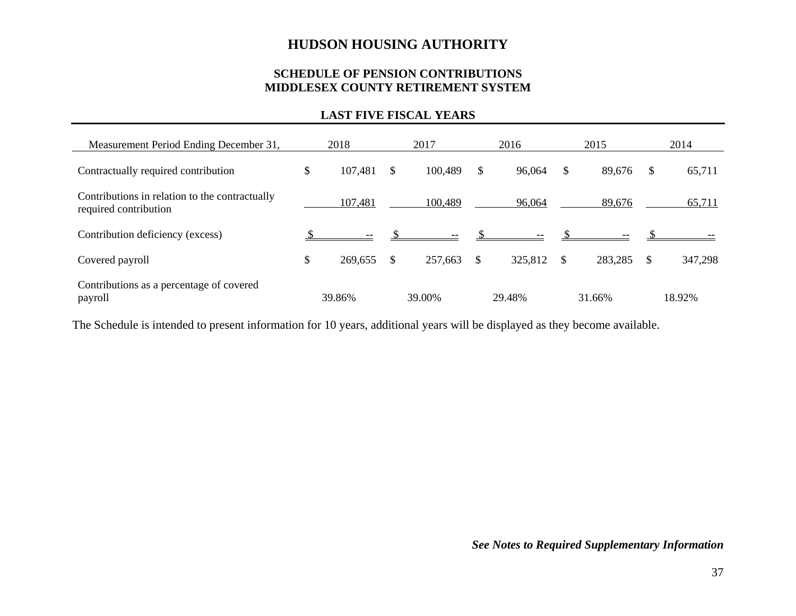### **SCHEDULE OF PENSION CONTRIBUTIONS MIDDLESEX COUNTY RETIREMENT SYSTEM**

### **LAST FIVE FISCAL YEARS**

| Measurement Period Ending December 31,                                  | 2018          | 2017          |               | 2016    | 2015          |     | 2014    |
|-------------------------------------------------------------------------|---------------|---------------|---------------|---------|---------------|-----|---------|
| Contractually required contribution                                     | \$<br>107,481 | \$<br>100,489 | \$.           | 96,064  | \$<br>89,676  | \$. | 65,711  |
| Contributions in relation to the contractually<br>required contribution | 107,481       | 100,489       |               | 96,064  | 89,676        |     | 65,711  |
| Contribution deficiency (excess)                                        |               |               |               |         |               |     |         |
| Covered payroll                                                         | \$<br>269,655 | \$<br>257,663 | <sup>\$</sup> | 325,812 | \$<br>283,285 | \$  | 347,298 |
| Contributions as a percentage of covered<br>payroll                     | 39.86%        | 39.00%        |               | 29.48%  | 31.66%        |     | 18.92%  |

The Schedule is intended to present information for 10 years, additional years will be displayed as they become available.

*See Notes to Required Supplementary Information*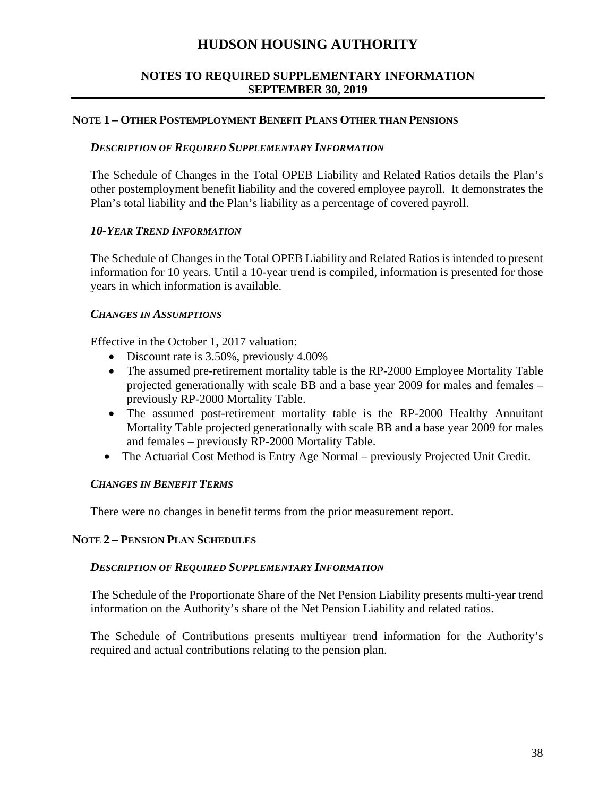### **NOTES TO REQUIRED SUPPLEMENTARY INFORMATION SEPTEMBER 30, 2019**

## **NOTE 1 – OTHER POSTEMPLOYMENT BENEFIT PLANS OTHER THAN PENSIONS**

### *DESCRIPTION OF REQUIRED SUPPLEMENTARY INFORMATION*

The Schedule of Changes in the Total OPEB Liability and Related Ratios details the Plan's other postemployment benefit liability and the covered employee payroll. It demonstrates the Plan's total liability and the Plan's liability as a percentage of covered payroll.

### *10-YEAR TREND INFORMATION*

The Schedule of Changes in the Total OPEB Liability and Related Ratios is intended to present information for 10 years. Until a 10-year trend is compiled, information is presented for those years in which information is available.

### *CHANGES IN ASSUMPTIONS*

Effective in the October 1, 2017 valuation:

- Discount rate is 3.50%, previously 4.00%
- The assumed pre-retirement mortality table is the RP-2000 Employee Mortality Table projected generationally with scale BB and a base year 2009 for males and females – previously RP-2000 Mortality Table.
- The assumed post-retirement mortality table is the RP-2000 Healthy Annuitant Mortality Table projected generationally with scale BB and a base year 2009 for males and females – previously RP-2000 Mortality Table.
- The Actuarial Cost Method is Entry Age Normal previously Projected Unit Credit.

### *CHANGES IN BENEFIT TERMS*

There were no changes in benefit terms from the prior measurement report.

### **NOTE 2 – PENSION PLAN SCHEDULES**

### *DESCRIPTION OF REQUIRED SUPPLEMENTARY INFORMATION*

The Schedule of the Proportionate Share of the Net Pension Liability presents multi-year trend information on the Authority's share of the Net Pension Liability and related ratios.

The Schedule of Contributions presents multiyear trend information for the Authority's required and actual contributions relating to the pension plan.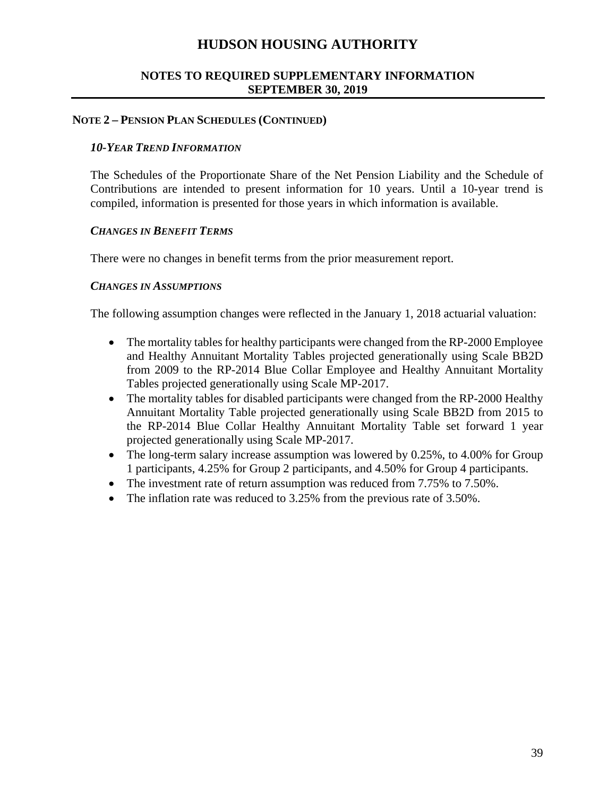### **NOTES TO REQUIRED SUPPLEMENTARY INFORMATION SEPTEMBER 30, 2019**

#### **NOTE 2 – PENSION PLAN SCHEDULES (CONTINUED)**

#### *10-YEAR TREND INFORMATION*

The Schedules of the Proportionate Share of the Net Pension Liability and the Schedule of Contributions are intended to present information for 10 years. Until a 10-year trend is compiled, information is presented for those years in which information is available.

#### *CHANGES IN BENEFIT TERMS*

There were no changes in benefit terms from the prior measurement report.

#### *CHANGES IN ASSUMPTIONS*

The following assumption changes were reflected in the January 1, 2018 actuarial valuation:

- The mortality tables for healthy participants were changed from the RP-2000 Employee and Healthy Annuitant Mortality Tables projected generationally using Scale BB2D from 2009 to the RP-2014 Blue Collar Employee and Healthy Annuitant Mortality Tables projected generationally using Scale MP-2017.
- The mortality tables for disabled participants were changed from the RP-2000 Healthy Annuitant Mortality Table projected generationally using Scale BB2D from 2015 to the RP-2014 Blue Collar Healthy Annuitant Mortality Table set forward 1 year projected generationally using Scale MP-2017.
- The long-term salary increase assumption was lowered by 0.25%, to 4.00% for Group 1 participants, 4.25% for Group 2 participants, and 4.50% for Group 4 participants.
- The investment rate of return assumption was reduced from 7.75% to 7.50%.
- The inflation rate was reduced to 3.25% from the previous rate of 3.50%.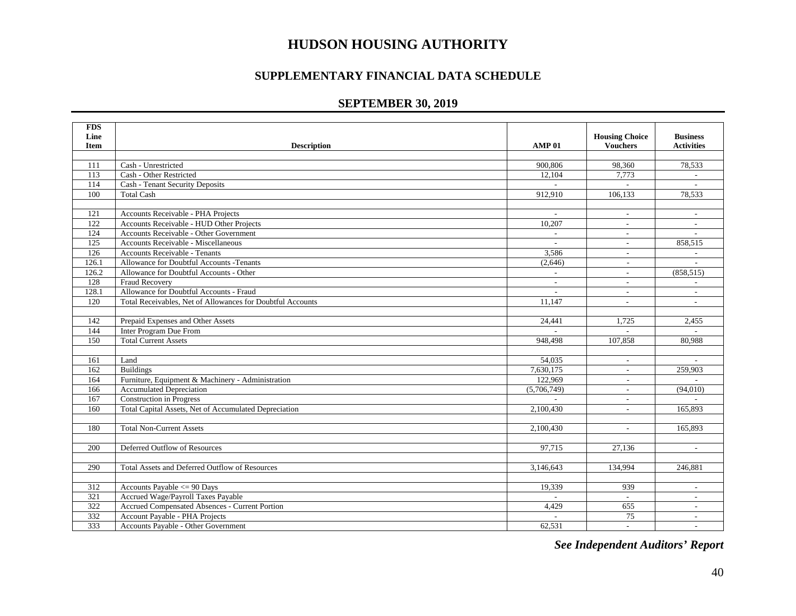#### **SUPPLEMENTARY FINANCIAL DATA SCHEDULE**

## **SEPTEMBER 30, 2019**

| <b>FDS</b>  |                                                            |                          |                             |                             |
|-------------|------------------------------------------------------------|--------------------------|-----------------------------|-----------------------------|
| Line        |                                                            |                          | <b>Housing Choice</b>       | <b>Business</b>             |
| <b>Item</b> | <b>Description</b>                                         | <b>AMP 01</b>            | <b>Vouchers</b>             | <b>Activities</b>           |
| 111         | Cash - Unrestricted                                        | 900,806                  | 98,360                      | 78,533                      |
| 113         | Cash - Other Restricted                                    | 12,104                   | 7,773                       |                             |
| 114         | <b>Cash - Tenant Security Deposits</b>                     |                          |                             |                             |
| 100         | <b>Total Cash</b>                                          | 912.910                  | 106.133                     | 78,533                      |
|             |                                                            |                          |                             |                             |
| 121         | Accounts Receivable - PHA Projects                         | $\mathbf{r}$             | $\sim$                      | $\overline{a}$              |
| 122         | Accounts Receivable - HUD Other Projects                   | 10,207                   | $\sim$                      |                             |
| 124         | <b>Accounts Receivable - Other Government</b>              | $\mathcal{L}$            | $\sim$                      | $\mathcal{L}$               |
| 125         | Accounts Receivable - Miscellaneous                        | $\sim$                   | $\sim$                      | 858,515                     |
| 126         | Accounts Receivable - Tenants                              | 3,586                    | $\sim$                      |                             |
| 126.1       | Allowance for Doubtful Accounts -Tenants                   | (2,646)                  | $\sim$                      |                             |
| 126.2       | Allowance for Doubtful Accounts - Other                    | $\sim$                   | $\mathbf{r}$                | (858, 515)                  |
| 128         | <b>Fraud Recovery</b>                                      | $\mathbf{r}$             | $\sim$                      | $\mathcal{L}^{\mathcal{A}}$ |
| 128.1       | Allowance for Doubtful Accounts - Fraud                    |                          | $\sim$                      |                             |
| 120         | Total Receivables, Net of Allowances for Doubtful Accounts | 11,147                   | $\sim$                      | $\sim$                      |
|             |                                                            |                          |                             |                             |
| 142         | Prepaid Expenses and Other Assets                          | 24,441                   | 1,725                       | 2,455                       |
| 144         | Inter Program Due From                                     |                          |                             |                             |
| 150         | <b>Total Current Assets</b>                                | 948,498                  | 107,858                     | 80,988                      |
|             |                                                            |                          |                             |                             |
| 161         | Land                                                       | 54,035                   |                             |                             |
| 162         | <b>Buildings</b>                                           | 7,630,175                | $\sim$                      | 259,903                     |
| 164         | Furniture, Equipment & Machinery - Administration          | 122.969                  | $\sim$                      |                             |
| 166         | <b>Accumulated Depreciation</b>                            | (5,706,749)              | $\sim$                      | (94,010)                    |
| 167         | Construction in Progress                                   |                          | $\overline{a}$              |                             |
| 160         | Total Capital Assets, Net of Accumulated Depreciation      | 2,100,430                | $\sim$                      | 165,893                     |
|             |                                                            |                          |                             |                             |
| 180         | <b>Total Non-Current Assets</b>                            | 2,100,430                | $\mathbf{r}$                | 165,893                     |
|             |                                                            |                          |                             |                             |
| 200         | Deferred Outflow of Resources                              | 97,715                   | 27,136                      |                             |
|             |                                                            |                          |                             |                             |
| 290         | <b>Total Assets and Deferred Outflow of Resources</b>      | 3,146,643                | 134,994                     | 246.881                     |
|             |                                                            |                          |                             |                             |
| 312         | Accounts Payable <= 90 Days                                | 19,339                   | 939                         |                             |
| 321         | Accrued Wage/Payroll Taxes Payable                         | $\overline{\phantom{a}}$ | $\mathcal{L}^{\mathcal{A}}$ | $\overline{a}$              |
| 322         | <b>Accrued Compensated Absences - Current Portion</b>      | 4,429                    | 655                         | $\overline{\phantom{a}}$    |
| 332         | Account Payable - PHA Projects                             | $\sim$                   | 75                          | $\sim$                      |
| 333         | Accounts Payable - Other Government                        | 62,531                   | $\mathbf{r}$                | $\overline{\phantom{a}}$    |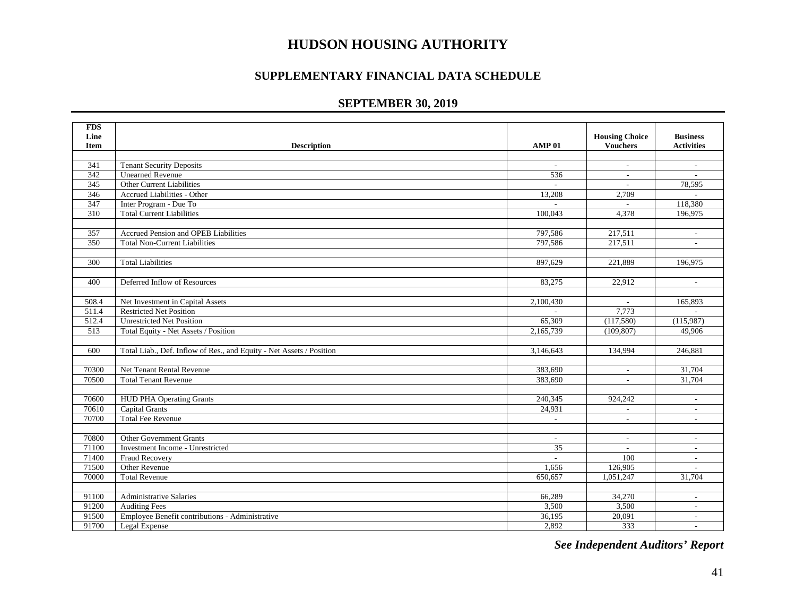#### **SUPPLEMENTARY FINANCIAL DATA SCHEDULE**

## **SEPTEMBER 30, 2019**

| <b>FDS</b>  |                                                                      |                          |                                          |                                      |
|-------------|----------------------------------------------------------------------|--------------------------|------------------------------------------|--------------------------------------|
| Line        |                                                                      | <b>AMP 01</b>            | <b>Housing Choice</b><br><b>Vouchers</b> | <b>Business</b><br><b>Activities</b> |
| <b>Item</b> | <b>Description</b>                                                   |                          |                                          |                                      |
| 341         | <b>Tenant Security Deposits</b>                                      |                          | $\blacksquare$                           | $\overline{\phantom{a}}$             |
| 342         | <b>Unearned Revenue</b>                                              | 536                      | $\sim$                                   | $\sim$                               |
| 345         | Other Current Liabilities                                            |                          |                                          | 78,595                               |
| 346         | Accrued Liabilities - Other                                          | 13,208                   | 2,709                                    |                                      |
| 347         | Inter Program - Due To                                               |                          |                                          | 118,380                              |
| 310         | <b>Total Current Liabilities</b>                                     | 100,043                  | 4,378                                    | 196,975                              |
|             |                                                                      |                          |                                          |                                      |
| 357         | Accrued Pension and OPEB Liabilities                                 | 797,586                  | 217,511                                  | $\mathcal{L}$                        |
| 350         | <b>Total Non-Current Liabilities</b>                                 | 797,586                  | 217,511                                  | $\sim$                               |
|             |                                                                      |                          |                                          |                                      |
| 300         | <b>Total Liabilities</b>                                             | 897,629                  | 221,889                                  | 196,975                              |
|             |                                                                      |                          |                                          |                                      |
| 400         | Deferred Inflow of Resources                                         | 83,275                   | 22,912                                   | $\sim$                               |
|             |                                                                      |                          |                                          |                                      |
| 508.4       | Net Investment in Capital Assets                                     | 2,100,430                |                                          | 165,893                              |
| 511.4       | <b>Restricted Net Position</b>                                       |                          | 7,773                                    |                                      |
| 512.4       | <b>Unrestricted Net Position</b>                                     | 65,309                   | (117,580)                                | (115,987)                            |
| 513         | Total Equity - Net Assets / Position                                 | 2,165,739                | (109, 807)                               | 49,906                               |
|             |                                                                      |                          |                                          |                                      |
| 600         | Total Liab., Def. Inflow of Res., and Equity - Net Assets / Position | 3,146,643                | 134,994                                  | 246,881                              |
|             |                                                                      |                          |                                          |                                      |
| 70300       | Net Tenant Rental Revenue                                            | 383,690                  | $\sim$                                   | 31,704                               |
| 70500       | <b>Total Tenant Revenue</b>                                          | 383,690                  | $\overline{\phantom{a}}$                 | 31,704                               |
|             |                                                                      |                          |                                          |                                      |
| 70600       | <b>HUD PHA Operating Grants</b>                                      | 240,345                  | 924,242                                  |                                      |
| 70610       | <b>Capital Grants</b>                                                | 24,931                   | $\sim$                                   | $\sim$                               |
| 70700       | <b>Total Fee Revenue</b>                                             | $\overline{\phantom{a}}$ | $\sim$                                   | $\overline{\phantom{a}}$             |
|             |                                                                      |                          |                                          |                                      |
| 70800       | <b>Other Government Grants</b>                                       |                          |                                          |                                      |
| 71100       | <b>Investment Income - Unrestricted</b>                              | $\overline{35}$          | $\sim$                                   | $\mathcal{L}$                        |
| 71400       | Fraud Recovery                                                       |                          | 100                                      | $\overline{\phantom{a}}$             |
| 71500       | Other Revenue                                                        | 1,656                    | 126,905                                  |                                      |
| 70000       | <b>Total Revenue</b>                                                 | 650,657                  | 1,051,247                                | 31,704                               |
|             |                                                                      |                          |                                          |                                      |
| 91100       | Administrative Salaries                                              | 66,289                   | 34,270                                   | $\overline{\phantom{a}}$             |
| 91200       | <b>Auditing Fees</b>                                                 | 3,500                    | 3,500                                    | $\overline{\phantom{a}}$             |
| 91500       | Employee Benefit contributions - Administrative                      | 36,195                   | 20,091                                   | $\overline{\phantom{a}}$             |
| 91700       | Legal Expense                                                        | 2,892                    | 333                                      |                                      |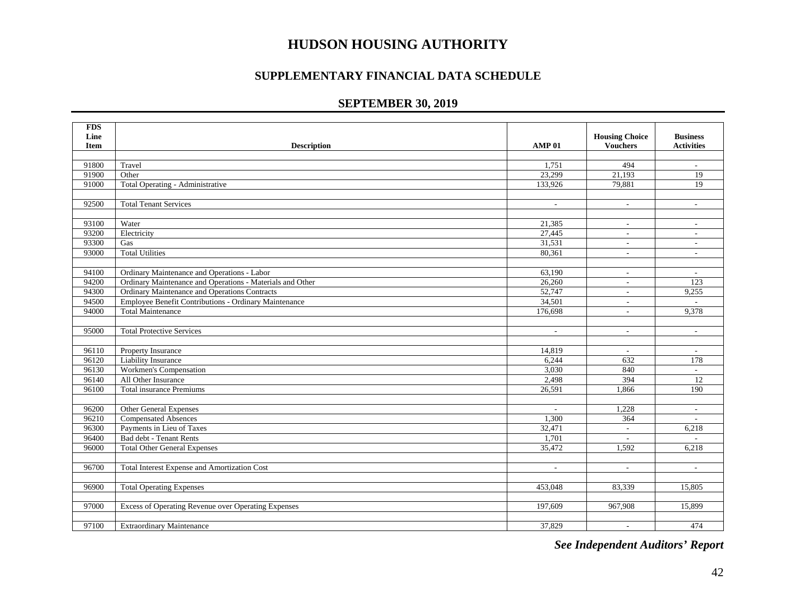#### **SUPPLEMENTARY FINANCIAL DATA SCHEDULE**

## **SEPTEMBER 30, 2019**

| <b>FDS</b><br>Line<br><b>Item</b> | <b>Description</b>                                        | <b>AMP 01</b>                     | <b>Housing Choice</b><br><b>Vouchers</b> | <b>Business</b><br><b>Activities</b> |
|-----------------------------------|-----------------------------------------------------------|-----------------------------------|------------------------------------------|--------------------------------------|
|                                   |                                                           |                                   |                                          |                                      |
| 91800                             | Travel                                                    | 1,751                             | 494                                      |                                      |
| 91900                             | Other                                                     | 23,299                            | 21,193                                   | 19                                   |
| 91000                             | Total Operating - Administrative                          | 133,926                           | 79,881                                   | 19                                   |
|                                   |                                                           |                                   |                                          |                                      |
| 92500                             | <b>Total Tenant Services</b>                              | $\sim$                            | $\sim$                                   | $\overline{\phantom{a}}$             |
|                                   |                                                           |                                   |                                          |                                      |
| 93100                             | Water                                                     | 21,385                            | $\sim$                                   |                                      |
| 93200                             | Electricity                                               | 27,445                            | $\sim$                                   | $\sim$                               |
| 93300                             | Gas                                                       | 31,531                            | $\sim$                                   | $\blacksquare$                       |
| 93000                             | <b>Total Utilities</b>                                    | 80,361                            | $\sim$                                   | $\blacksquare$                       |
|                                   |                                                           |                                   |                                          |                                      |
| 94100                             | Ordinary Maintenance and Operations - Labor               | 63,190                            | $\mathcal{L}^{\pm}$                      | $\sim$                               |
| 94200                             | Ordinary Maintenance and Operations - Materials and Other | 26,260                            | $\sim$                                   | 123                                  |
| 94300                             | Ordinary Maintenance and Operations Contracts             | 52,747                            | $\sim$                                   | 9,255                                |
| 94500                             | Employee Benefit Contributions - Ordinary Maintenance     | 34,501                            | $\blacksquare$                           |                                      |
| 94000                             | <b>Total Maintenance</b>                                  | 176,698                           | $\sim$                                   | 9,378                                |
|                                   |                                                           |                                   |                                          |                                      |
| 95000                             | <b>Total Protective Services</b>                          | $\sim$                            | $\sim$                                   | $\blacksquare$                       |
|                                   |                                                           |                                   |                                          |                                      |
| 96110                             | Property Insurance                                        | 14,819                            |                                          |                                      |
| 96120                             | Liability Insurance                                       | 6,244                             | 632                                      | 178                                  |
| 96130                             | Workmen's Compensation                                    | 3,030                             | 840                                      | $\sim$                               |
| 96140                             | All Other Insurance                                       | 2,498                             | 394                                      | 12                                   |
| 96100                             | <b>Total insurance Premiums</b>                           | 26,591                            | 1.866                                    | 190                                  |
|                                   |                                                           |                                   |                                          |                                      |
| 96200<br>96210                    | Other General Expenses<br><b>Compensated Absences</b>     | $\overline{\phantom{a}}$<br>1,300 | 1,228<br>364                             | $\overline{\phantom{a}}$             |
| 96300                             | Payments in Lieu of Taxes                                 | 32,471                            | $\sim$                                   | 6,218                                |
| 96400                             | Bad debt - Tenant Rents                                   | 1,701                             |                                          |                                      |
| 96000                             |                                                           | 35,472                            | 1,592                                    | 6,218                                |
|                                   | <b>Total Other General Expenses</b>                       |                                   |                                          |                                      |
| 96700                             |                                                           | $\mathcal{L}$                     | $\sim$                                   | $\sim$                               |
|                                   | Total Interest Expense and Amortization Cost              |                                   |                                          |                                      |
| 96900                             | <b>Total Operating Expenses</b>                           | 453.048                           | 83,339                                   | 15,805                               |
|                                   |                                                           |                                   |                                          |                                      |
| 97000                             | Excess of Operating Revenue over Operating Expenses       | 197,609                           | 967,908                                  | 15,899                               |
|                                   |                                                           |                                   |                                          |                                      |
| 97100                             | <b>Extraordinary Maintenance</b>                          | 37,829                            | $\sim$                                   | 474                                  |
|                                   |                                                           |                                   |                                          |                                      |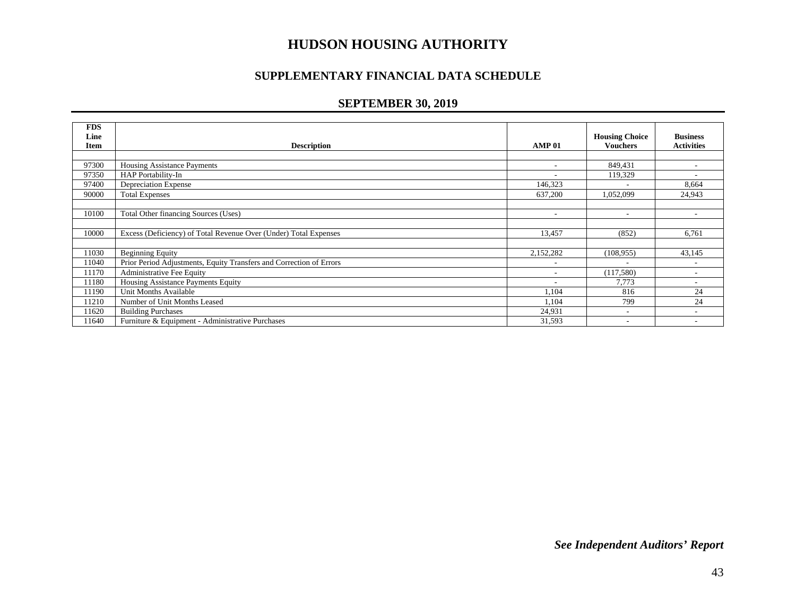#### **SUPPLEMENTARY FINANCIAL DATA SCHEDULE**

## **SEPTEMBER 30, 2019**

| <b>FDS</b><br>Line<br>Item | <b>Description</b>                                                  | <b>AMP 01</b>            | <b>Housing Choice</b><br><b>Vouchers</b> | <b>Business</b><br><b>Activities</b> |
|----------------------------|---------------------------------------------------------------------|--------------------------|------------------------------------------|--------------------------------------|
|                            |                                                                     |                          |                                          |                                      |
| 97300                      | Housing Assistance Payments                                         | $\overline{\phantom{a}}$ | 849,431                                  |                                      |
| 97350                      | HAP Portability-In                                                  |                          | 119,329                                  |                                      |
| 97400                      | Depreciation Expense                                                | 146,323                  |                                          | 8,664                                |
| 90000                      | <b>Total Expenses</b>                                               | 637,200                  | 1,052,099                                | 24,943                               |
|                            |                                                                     |                          |                                          |                                      |
| 10100                      | <b>Total Other financing Sources (Uses)</b>                         | ٠                        | $\overline{\phantom{a}}$                 | $\overline{\phantom{a}}$             |
|                            |                                                                     |                          |                                          |                                      |
| 10000                      | Excess (Deficiency) of Total Revenue Over (Under) Total Expenses    | 13,457                   | (852)                                    | 6,761                                |
|                            |                                                                     |                          |                                          |                                      |
| 11030                      | <b>Beginning Equity</b>                                             | 2,152,282                | (108, 955)                               | 43,145                               |
| 11040                      | Prior Period Adjustments, Equity Transfers and Correction of Errors | ٠                        |                                          |                                      |
| 11170                      | Administrative Fee Equity                                           |                          | (117,580)                                |                                      |
| 11180                      | Housing Assistance Payments Equity                                  |                          | 7,773                                    |                                      |
| 11190                      | Unit Months Available                                               | 1,104                    | 816                                      | 24                                   |
| 11210                      | Number of Unit Months Leased                                        | 1,104                    | 799                                      | 24                                   |
| 11620                      | <b>Building Purchases</b>                                           | 24,931                   |                                          |                                      |
| 11640                      | Furniture & Equipment - Administrative Purchases                    | 31,593                   | ٠                                        |                                      |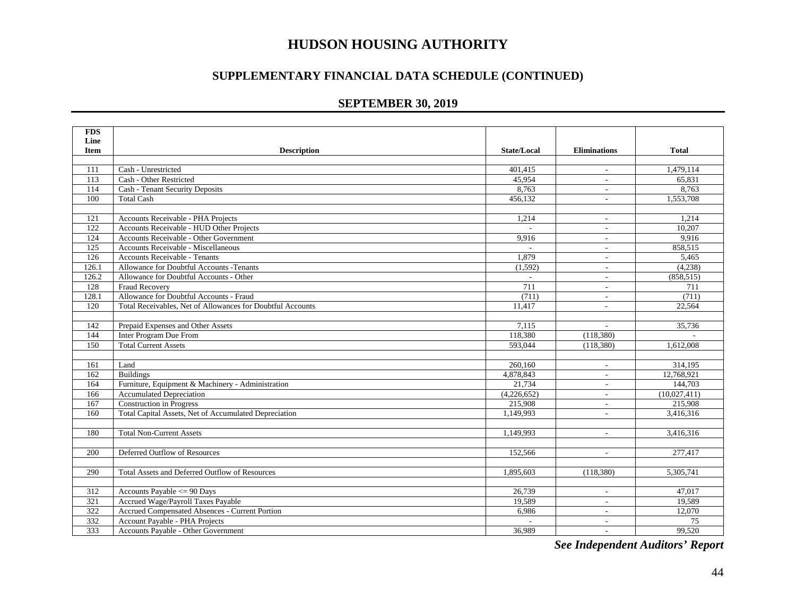# **SUPPLEMENTARY FINANCIAL DATA SCHEDULE (CONTINUED)**

# **SEPTEMBER 30, 2019**

| <b>FDS</b>  |                                                            |                    |                          |              |
|-------------|------------------------------------------------------------|--------------------|--------------------------|--------------|
| Line        |                                                            |                    |                          |              |
| <b>Item</b> | <b>Description</b>                                         | <b>State/Local</b> | <b>Eliminations</b>      | <b>Total</b> |
| 111         | Cash - Unrestricted                                        | 401,415            | $\overline{\phantom{a}}$ | 1,479,114    |
| 113         | Cash - Other Restricted                                    | 45,954             | $\overline{\phantom{a}}$ | 65,831       |
| 114         | Cash - Tenant Security Deposits                            | 8,763              | $\sim$                   | 8,763        |
| 100         | <b>Total Cash</b>                                          | 456,132            | $\overline{\phantom{a}}$ | 1,553,708    |
|             |                                                            |                    |                          |              |
| 121         | Accounts Receivable - PHA Projects                         | 1,214              | $\sim$                   | 1,214        |
| 122         | Accounts Receivable - HUD Other Projects                   |                    | $\overline{\phantom{a}}$ | 10.207       |
| 124         | Accounts Receivable - Other Government                     | 9,916              | ÷.                       | 9,916        |
| 125         | Accounts Receivable - Miscellaneous                        | $\blacksquare$     | $\sim$                   | 858,515      |
| 126         | Accounts Receivable - Tenants                              | 1,879              | $\sim$                   | 5,465        |
| 126.1       | Allowance for Doubtful Accounts -Tenants                   | (1, 592)           | $\sim$                   | (4,238)      |
| 126.2       | Allowance for Doubtful Accounts - Other                    |                    | ÷.                       | (858, 515)   |
| 128         | <b>Fraud Recovery</b>                                      | 711                | $\sim$                   | 711          |
| 128.1       | Allowance for Doubtful Accounts - Fraud                    | (711)              | $\sim$                   | (711)        |
| 120         | Total Receivables, Net of Allowances for Doubtful Accounts | 11.417             | $\sim$                   | 22.564       |
|             |                                                            |                    |                          |              |
| 142         | Prepaid Expenses and Other Assets                          | 7.115              | $\sim$                   | 35.736       |
| 144         | Inter Program Due From                                     | 118,380            | (118,380)                |              |
| 150         | <b>Total Current Assets</b>                                | 593,044            | (118,380)                | 1,612,008    |
|             |                                                            |                    |                          |              |
| 161         | Land                                                       | 260,160            | $\overline{\phantom{a}}$ | 314,195      |
| 162         | <b>Buildings</b>                                           | 4,878,843          | $\sim$                   | 12,768,921   |
| 164         | Furniture, Equipment & Machinery - Administration          | 21,734             | $\overline{\phantom{a}}$ | 144,703      |
| 166         | <b>Accumulated Depreciation</b>                            | (4,226,652)        | $\sim$                   | (10,027,411) |
| 167         | <b>Construction</b> in Progress                            | 215,908            | $\blacksquare$           | 215,908      |
| 160         | Total Capital Assets, Net of Accumulated Depreciation      | 1,149,993          | $\sim$                   | 3,416,316    |
|             |                                                            |                    |                          |              |
| 180         | <b>Total Non-Current Assets</b>                            | 1,149,993          | $\sim$                   | 3,416,316    |
|             |                                                            |                    |                          |              |
| 200         | Deferred Outflow of Resources                              | 152,566            | ÷.                       | 277,417      |
|             |                                                            |                    |                          |              |
| 290         | Total Assets and Deferred Outflow of Resources             | 1,895,603          | (118,380)                | 5,305,741    |
|             |                                                            |                    |                          |              |
| 312         | Accounts Payable $\leq$ 90 Days                            | 26,739             | ÷.                       | 47,017       |
| 321         | Accrued Wage/Payroll Taxes Payable                         | 19,589             | $\sim$                   | 19,589       |
| 322         | Accrued Compensated Absences - Current Portion             | 6,986              | $\overline{\phantom{a}}$ | 12,070       |
| 332         | Account Payable - PHA Projects                             | $\overline{a}$     | $\sim$                   | 75           |
| 333         | Accounts Payable - Other Government                        | 36,989             | $\overline{\phantom{a}}$ | 99,520       |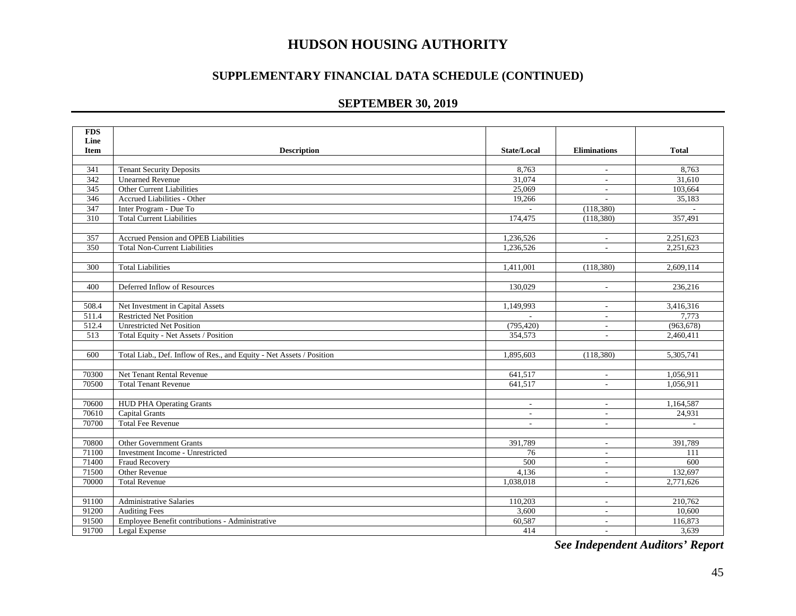# **SUPPLEMENTARY FINANCIAL DATA SCHEDULE (CONTINUED)**

# **SEPTEMBER 30, 2019**

| <b>FDS</b>       |                                                                      |                          |                             |              |
|------------------|----------------------------------------------------------------------|--------------------------|-----------------------------|--------------|
| Line             |                                                                      | State/Local              | <b>Eliminations</b>         | <b>Total</b> |
| Item             | <b>Description</b>                                                   |                          |                             |              |
| 341              | <b>Tenant Security Deposits</b>                                      | 8,763                    | $\overline{\phantom{a}}$    | 8,763        |
| 342              | <b>Unearned Revenue</b>                                              | 31,074                   | $\sim$                      | 31.610       |
| 345              | Other Current Liabilities                                            | 25,069                   | $\overline{\phantom{a}}$    | 103,664      |
| 346              | Accrued Liabilities - Other                                          | 19.266                   | $\mathbf{r}$                | 35,183       |
| 347              | Inter Program - Due To                                               |                          | (118, 380)                  |              |
| 310              | <b>Total Current Liabilities</b>                                     | 174,475                  | (118,380)                   | 357,491      |
|                  |                                                                      |                          |                             |              |
| 357              | Accrued Pension and OPEB Liabilities                                 | 1,236,526                | $\omega$                    | 2.251.623    |
| 350              | <b>Total Non-Current Liabilities</b>                                 | 1,236,526                | $\mathbf{r}$                | 2,251,623    |
|                  |                                                                      |                          |                             |              |
| 300              | <b>Total Liabilities</b>                                             | 1,411,001                | (118,380)                   | 2,609,114    |
|                  |                                                                      |                          |                             |              |
| 400              | Deferred Inflow of Resources                                         | 130,029                  | $\mathcal{L}_{\mathcal{A}}$ | 236,216      |
|                  |                                                                      |                          |                             |              |
| 508.4            | Net Investment in Capital Assets                                     | 1,149,993                | $\sim$                      | 3,416,316    |
| 511.4            | <b>Restricted Net Position</b>                                       |                          | $\sim$                      | 7.773        |
| 512.4            | <b>Unrestricted Net Position</b>                                     | (795, 420)               | ÷.                          | (963, 678)   |
| $\overline{513}$ | Total Equity - Net Assets / Position                                 | 354,573                  | $\overline{\phantom{a}}$    | 2,460,411    |
|                  |                                                                      |                          |                             |              |
| 600              | Total Liab., Def. Inflow of Res., and Equity - Net Assets / Position | 1,895,603                | (118, 380)                  | 5,305,741    |
|                  |                                                                      |                          |                             |              |
| 70300            | Net Tenant Rental Revenue                                            | 641,517                  | $\overline{\phantom{a}}$    | 1,056,911    |
| 70500            | <b>Total Tenant Revenue</b>                                          | 641,517                  | $\overline{\phantom{a}}$    | 1,056,911    |
|                  |                                                                      |                          |                             |              |
| 70600            | HUD PHA Operating Grants                                             |                          | $\overline{\phantom{a}}$    | 1,164,587    |
| 70610            | <b>Capital Grants</b>                                                | $\overline{\phantom{a}}$ | $\overline{\phantom{a}}$    | 24,931       |
| 70700            | <b>Total Fee Revenue</b>                                             | $\overline{\phantom{a}}$ | $\sim$                      | $\sim$       |
|                  |                                                                      |                          |                             |              |
| 70800            | Other Government Grants                                              | 391,789                  | $\overline{\phantom{a}}$    | 391,789      |
| 71100            | <b>Investment Income - Unrestricted</b>                              | 76                       | $\overline{\phantom{a}}$    | 111          |
| 71400            | Fraud Recovery                                                       | 500                      | $\overline{\phantom{a}}$    | 600          |
| 71500            | Other Revenue                                                        | 4,136                    | $\overline{\phantom{a}}$    | 132,697      |
| 70000            | <b>Total Revenue</b>                                                 | 1,038,018                | $\overline{a}$              | 2,771,626    |
|                  |                                                                      |                          |                             |              |
| 91100            | <b>Administrative Salaries</b>                                       | 110,203                  | $\overline{\phantom{a}}$    | 210,762      |
| 91200            | <b>Auditing Fees</b>                                                 | 3,600                    | $\overline{\phantom{a}}$    | 10,600       |
| 91500            | Employee Benefit contributions - Administrative                      | 60,587                   | $\sim$                      | 116,873      |
| 91700            | Legal Expense                                                        | 414                      | $\sim$                      | 3,639        |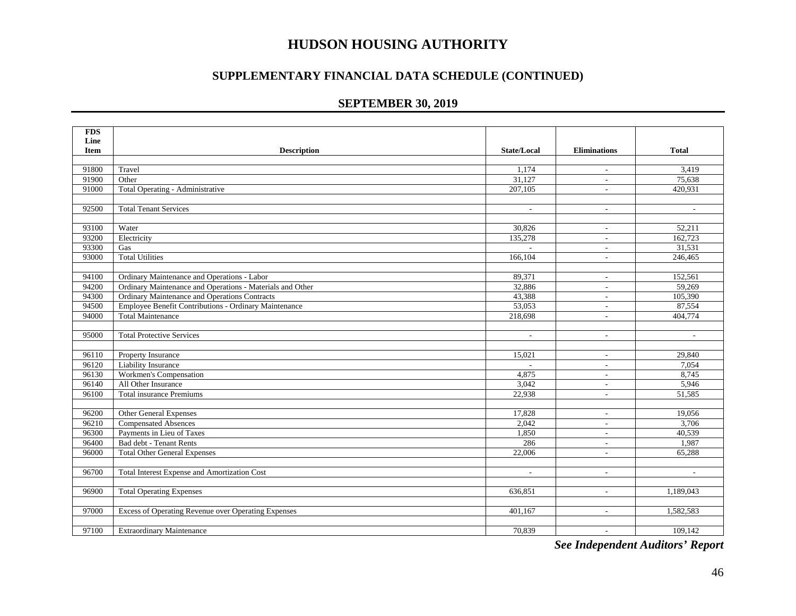# **SUPPLEMENTARY FINANCIAL DATA SCHEDULE (CONTINUED)**

# **SEPTEMBER 30, 2019**

| <b>FDS</b>     |                                                           |                    |                          |                          |
|----------------|-----------------------------------------------------------|--------------------|--------------------------|--------------------------|
| Line           |                                                           | <b>State/Local</b> | <b>Eliminations</b>      | <b>Total</b>             |
| Item           | <b>Description</b>                                        |                    |                          |                          |
| 91800          | Travel                                                    | 1,174              | $\sim$                   | 3,419                    |
| 91900          | Other                                                     | 31,127             | $\sim$                   | 75,638                   |
| 91000          | Total Operating - Administrative                          | 207,105            | $\blacksquare$           | 420,931                  |
|                |                                                           |                    |                          |                          |
| 92500          | <b>Total Tenant Services</b>                              | $\sim$             | $\overline{\phantom{a}}$ | $\overline{\phantom{a}}$ |
|                |                                                           |                    |                          |                          |
| 93100          | Water                                                     | 30,826             | $\overline{\phantom{a}}$ | 52,211                   |
| 93200          | Electricity                                               | 135,278            | $\overline{\phantom{a}}$ | 162,723                  |
| 93300          | Gas                                                       |                    | $\overline{\phantom{a}}$ | 31,531                   |
| 93000          | <b>Total Utilities</b>                                    | 166,104            | $\mathbf{r}$             | 246,465                  |
|                |                                                           |                    |                          |                          |
| 94100          | Ordinary Maintenance and Operations - Labor               | 89,371             | ÷.                       | 152,561                  |
| 94200          | Ordinary Maintenance and Operations - Materials and Other | 32,886             | $\sim$                   | 59,269                   |
| 94300          | Ordinary Maintenance and Operations Contracts             | 43,388             | $\sim$                   | 105,390                  |
| 94500          | Employee Benefit Contributions - Ordinary Maintenance     | 53,053             | $\sim$                   | 87,554                   |
| 94000          | <b>Total Maintenance</b>                                  | 218,698            | $\overline{a}$           | 404,774                  |
|                |                                                           |                    |                          |                          |
| 95000          | <b>Total Protective Services</b>                          | $\sim$             | $\overline{\phantom{a}}$ | $\blacksquare$           |
|                |                                                           |                    |                          |                          |
| 96110          | Property Insurance                                        | 15,021             | $\mathbf{r}$             | 29,840                   |
| 96120          | <b>Liability Insurance</b>                                | $\mathbf{r}$       | $\sim$                   | 7,054                    |
| 96130          | Workmen's Compensation                                    | 4,875              | $\overline{\phantom{a}}$ | 8,745                    |
| 96140          | All Other Insurance                                       | 3,042              | $\sim$                   | 5,946                    |
| 96100          | <b>Total insurance Premiums</b>                           | 22,938             | $\blacksquare$           | 51,585                   |
|                |                                                           |                    |                          |                          |
| 96200          | Other General Expenses                                    | 17,828             | $\sim$                   | 19,056                   |
| 96210          | <b>Compensated Absences</b>                               | 2,042              | L.                       | 3,706                    |
| 96300<br>96400 | Payments in Lieu of Taxes                                 | 1,850<br>286       | $\sim$                   | 40,539                   |
|                | <b>Bad debt - Tenant Rents</b>                            |                    | $\overline{\phantom{a}}$ | 1,987                    |
| 96000          | <b>Total Other General Expenses</b>                       | 22,006             | $\sim$                   | 65,288                   |
|                |                                                           |                    |                          | $\sim$                   |
| 96700          | Total Interest Expense and Amortization Cost              | $\sim$             | $\sim$                   |                          |
| 96900          | <b>Total Operating Expenses</b>                           | 636,851            | $\sim$                   | 1,189,043                |
|                |                                                           |                    |                          |                          |
| 97000          | Excess of Operating Revenue over Operating Expenses       | 401,167            | $\sim$                   | 1,582,583                |
|                |                                                           |                    |                          |                          |
| 97100          | <b>Extraordinary Maintenance</b>                          | 70,839             | $\sim$                   | 109,142                  |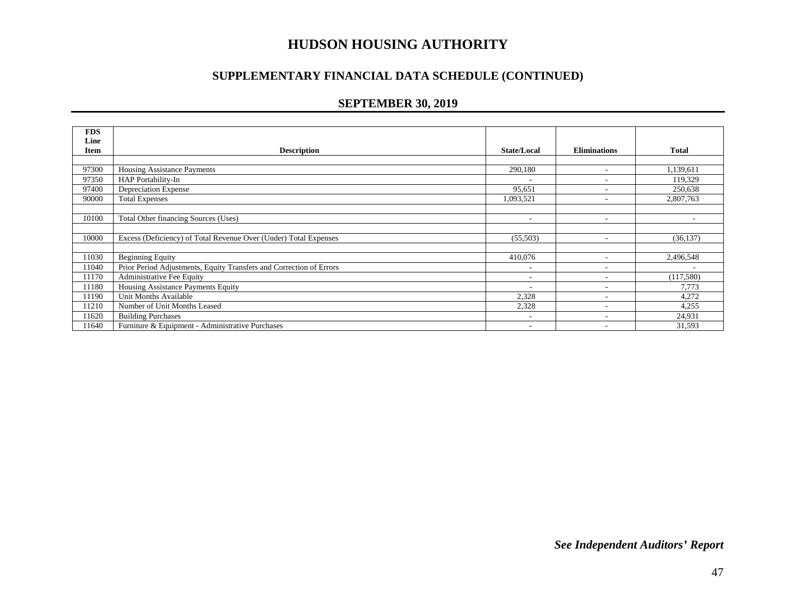# **SUPPLEMENTARY FINANCIAL DATA SCHEDULE (CONTINUED)**

# **SEPTEMBER 30, 2019**

| <b>FDS</b> |                                                                     |                          |                          |           |
|------------|---------------------------------------------------------------------|--------------------------|--------------------------|-----------|
| Line       |                                                                     |                          |                          |           |
| Item       | <b>Description</b>                                                  | <b>State/Local</b>       | <b>Eliminations</b>      | Total     |
|            |                                                                     |                          |                          |           |
| 97300      | Housing Assistance Payments                                         | 290,180                  | $\overline{\phantom{a}}$ | 1,139,611 |
| 97350      | HAP Portability-In                                                  |                          |                          | 119,329   |
| 97400      | Depreciation Expense                                                | 95,651                   |                          | 250,638   |
| 90000      | <b>Total Expenses</b>                                               | 1,093,521                |                          | 2,807,763 |
|            |                                                                     |                          |                          |           |
| 10100      | Total Other financing Sources (Uses)                                | $\overline{\phantom{a}}$ |                          |           |
|            |                                                                     |                          |                          |           |
| 10000      | Excess (Deficiency) of Total Revenue Over (Under) Total Expenses    | (55,503)                 |                          | (36, 137) |
|            |                                                                     |                          |                          |           |
| 11030      | <b>Beginning Equity</b>                                             | 410,076                  | $\overline{\phantom{a}}$ | 2,496,548 |
| 11040      | Prior Period Adjustments, Equity Transfers and Correction of Errors |                          |                          |           |
| 11170      | <b>Administrative Fee Equity</b>                                    |                          |                          | (117,580) |
| 11180      | Housing Assistance Payments Equity                                  | $\overline{\phantom{a}}$ | $\overline{\phantom{a}}$ | 7,773     |
| 11190      | Unit Months Available                                               | 2,328                    |                          | 4,272     |
| 11210      | Number of Unit Months Leased                                        | 2,328                    | $\overline{\phantom{0}}$ | 4,255     |
| 11620      | <b>Building Purchases</b>                                           |                          |                          | 24,931    |
| 11640      | Furniture & Equipment - Administrative Purchases                    |                          |                          | 31,593    |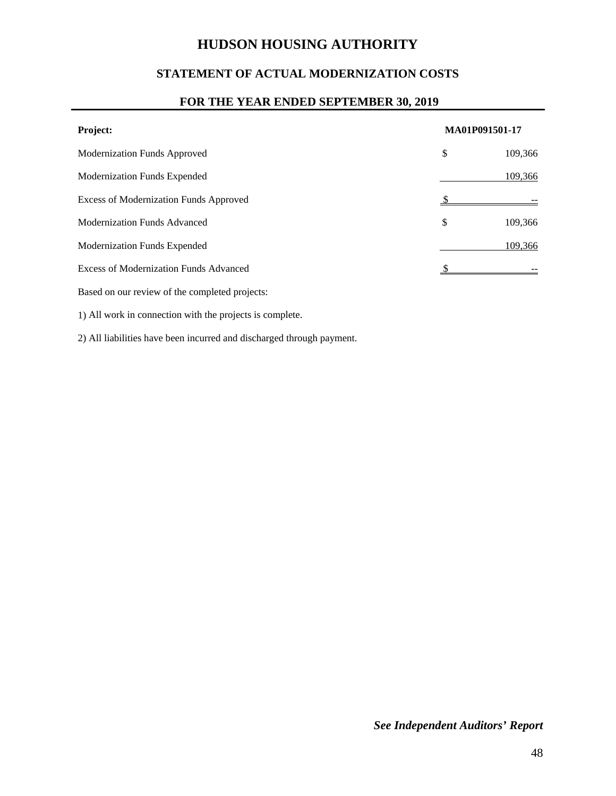# **STATEMENT OF ACTUAL MODERNIZATION COSTS**

## **FOR THE YEAR ENDED SEPTEMBER 30, 2019**

| Project:                                                 | MA01P091501-17 |         |
|----------------------------------------------------------|----------------|---------|
| Modernization Funds Approved                             | \$             | 109,366 |
| Modernization Funds Expended                             |                | 109,366 |
| Excess of Modernization Funds Approved                   |                |         |
| <b>Modernization Funds Advanced</b>                      | \$             | 109,366 |
| Modernization Funds Expended                             |                | 109,366 |
| <b>Excess of Modernization Funds Advanced</b>            |                |         |
| Based on our review of the completed projects:           |                |         |
| 1) All work in connection with the projects is complete. |                |         |

2) All liabilities have been incurred and discharged through payment.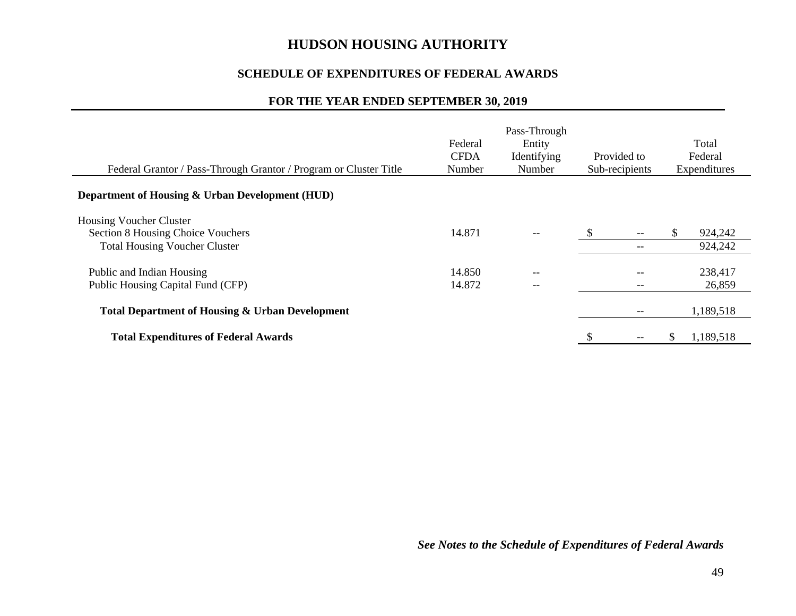### **SCHEDULE OF EXPENDITURES OF FEDERAL AWARDS**

## **FOR THE YEAR ENDED SEPTEMBER 30, 2019**

| Federal Grantor / Pass-Through Grantor / Program or Cluster Title | Federal<br><b>CFDA</b><br>Number | Pass-Through<br>Entity<br>Identifying<br>Number | Provided to<br>Sub-recipients |     | Total<br>Federal<br>Expenditures |
|-------------------------------------------------------------------|----------------------------------|-------------------------------------------------|-------------------------------|-----|----------------------------------|
| <b>Department of Housing &amp; Urban Development (HUD)</b>        |                                  |                                                 |                               |     |                                  |
| <b>Housing Voucher Cluster</b>                                    |                                  |                                                 |                               |     |                                  |
| Section 8 Housing Choice Vouchers                                 | 14.871                           | $\overline{\phantom{m}}$                        | $\qquad \qquad -$             | \$. | 924,242                          |
| <b>Total Housing Voucher Cluster</b>                              |                                  |                                                 | $- -$                         |     | 924,242                          |
| Public and Indian Housing                                         | 14.850                           | $- -$                                           | --                            |     | 238,417                          |
| Public Housing Capital Fund (CFP)                                 | 14.872                           | $- -$                                           | --                            |     | 26,859                           |
| <b>Total Department of Housing &amp; Urban Development</b>        |                                  |                                                 | $- -$                         |     | 1,189,518                        |
| <b>Total Expenditures of Federal Awards</b>                       |                                  |                                                 | $- -$                         | ĴЬ. | 1,189,518                        |

*See Notes to the Schedule of Expenditures of Federal Awards*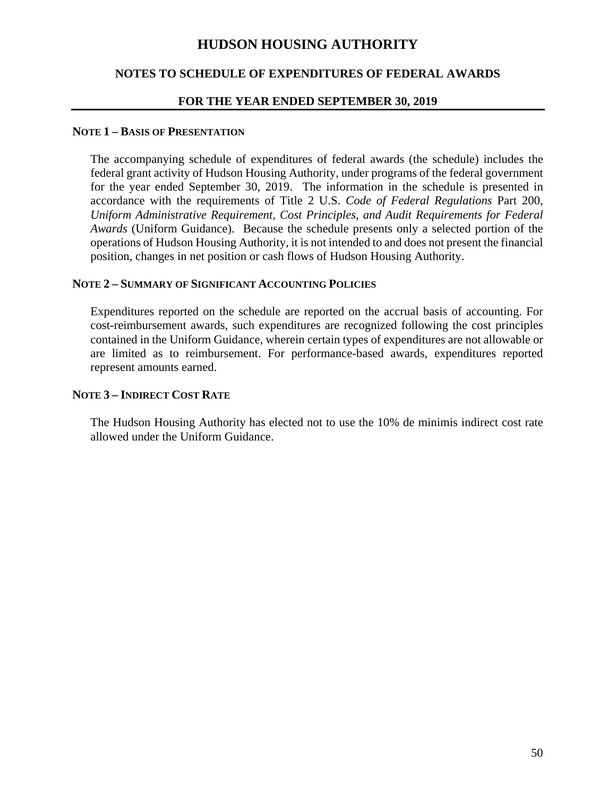### **NOTES TO SCHEDULE OF EXPENDITURES OF FEDERAL AWARDS**

#### **FOR THE YEAR ENDED SEPTEMBER 30, 2019**

#### **NOTE 1 – BASIS OF PRESENTATION**

The accompanying schedule of expenditures of federal awards (the schedule) includes the federal grant activity of Hudson Housing Authority, under programs of the federal government for the year ended September 30, 2019. The information in the schedule is presented in accordance with the requirements of Title 2 U.S. *Code of Federal Regulations* Part 200, *Uniform Administrative Requirement, Cost Principles, and Audit Requirements for Federal Awards* (Uniform Guidance). Because the schedule presents only a selected portion of the operations of Hudson Housing Authority, it is not intended to and does not present the financial position, changes in net position or cash flows of Hudson Housing Authority.

#### **NOTE 2 – SUMMARY OF SIGNIFICANT ACCOUNTING POLICIES**

Expenditures reported on the schedule are reported on the accrual basis of accounting. For cost-reimbursement awards, such expenditures are recognized following the cost principles contained in the Uniform Guidance, wherein certain types of expenditures are not allowable or are limited as to reimbursement. For performance-based awards, expenditures reported represent amounts earned.

#### **NOTE 3 – INDIRECT COST RATE**

The Hudson Housing Authority has elected not to use the 10% de minimis indirect cost rate allowed under the Uniform Guidance.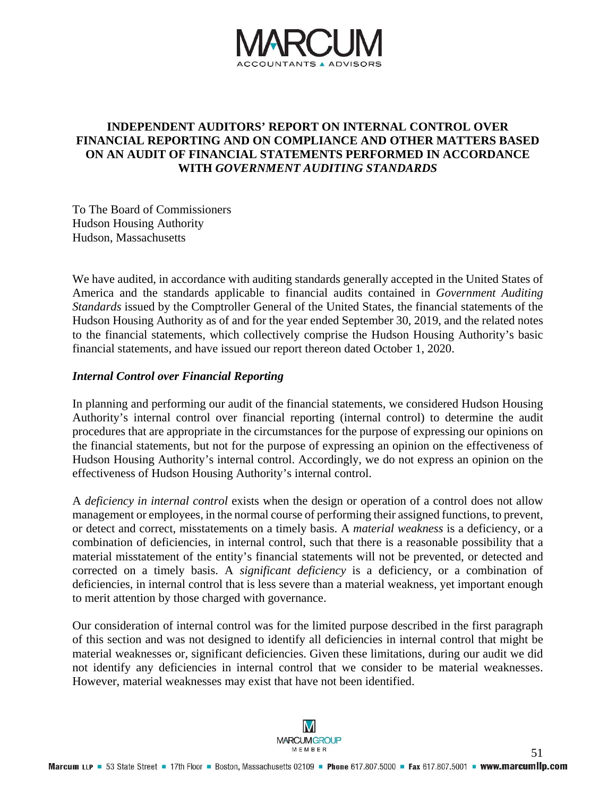

## **INDEPENDENT AUDITORS' REPORT ON INTERNAL CONTROL OVER FINANCIAL REPORTING AND ON COMPLIANCE AND OTHER MATTERS BASED ON AN AUDIT OF FINANCIAL STATEMENTS PERFORMED IN ACCORDANCE WITH** *GOVERNMENT AUDITING STANDARDS*

To The Board of Commissioners Hudson Housing Authority Hudson, Massachusetts

We have audited, in accordance with auditing standards generally accepted in the United States of America and the standards applicable to financial audits contained in *Government Auditing Standards* issued by the Comptroller General of the United States, the financial statements of the Hudson Housing Authority as of and for the year ended September 30, 2019, and the related notes to the financial statements, which collectively comprise the Hudson Housing Authority's basic financial statements, and have issued our report thereon dated October 1, 2020.

#### *Internal Control over Financial Reporting*

In planning and performing our audit of the financial statements, we considered Hudson Housing Authority's internal control over financial reporting (internal control) to determine the audit procedures that are appropriate in the circumstances for the purpose of expressing our opinions on the financial statements, but not for the purpose of expressing an opinion on the effectiveness of Hudson Housing Authority's internal control. Accordingly, we do not express an opinion on the effectiveness of Hudson Housing Authority's internal control.

A *deficiency in internal control* exists when the design or operation of a control does not allow management or employees, in the normal course of performing their assigned functions, to prevent, or detect and correct, misstatements on a timely basis. A *material weakness* is a deficiency, or a combination of deficiencies, in internal control, such that there is a reasonable possibility that a material misstatement of the entity's financial statements will not be prevented, or detected and corrected on a timely basis. A *significant deficiency* is a deficiency, or a combination of deficiencies, in internal control that is less severe than a material weakness, yet important enough to merit attention by those charged with governance.

Our consideration of internal control was for the limited purpose described in the first paragraph of this section and was not designed to identify all deficiencies in internal control that might be material weaknesses or, significant deficiencies. Given these limitations, during our audit we did not identify any deficiencies in internal control that we consider to be material weaknesses. However, material weaknesses may exist that have not been identified.



51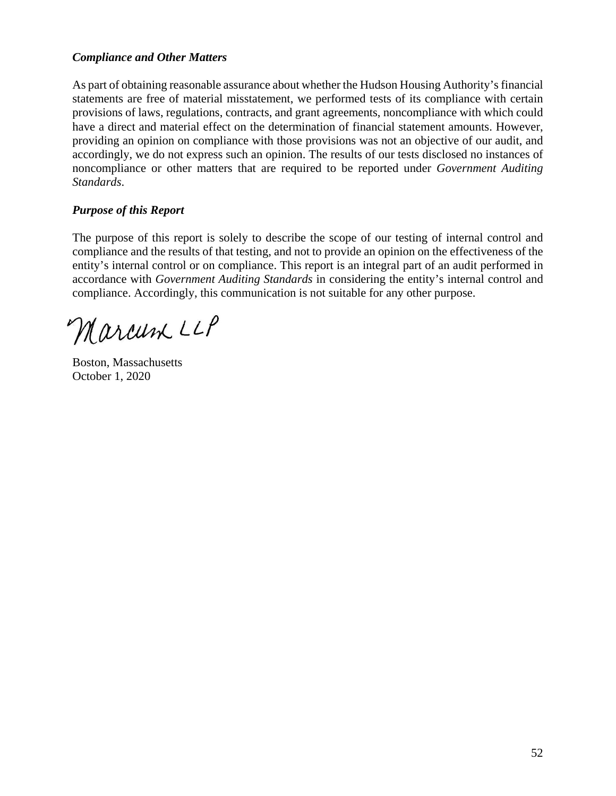### *Compliance and Other Matters*

As part of obtaining reasonable assurance about whether the Hudson Housing Authority's financial statements are free of material misstatement, we performed tests of its compliance with certain provisions of laws, regulations, contracts, and grant agreements, noncompliance with which could have a direct and material effect on the determination of financial statement amounts. However, providing an opinion on compliance with those provisions was not an objective of our audit, and accordingly, we do not express such an opinion. The results of our tests disclosed no instances of noncompliance or other matters that are required to be reported under *Government Auditing Standards*.

## *Purpose of this Report*

The purpose of this report is solely to describe the scope of our testing of internal control and compliance and the results of that testing, and not to provide an opinion on the effectiveness of the entity's internal control or on compliance. This report is an integral part of an audit performed in accordance with *Government Auditing Standards* in considering the entity's internal control and compliance. Accordingly, this communication is not suitable for any other purpose.

Marcum LLP

Boston, Massachusetts October 1, 2020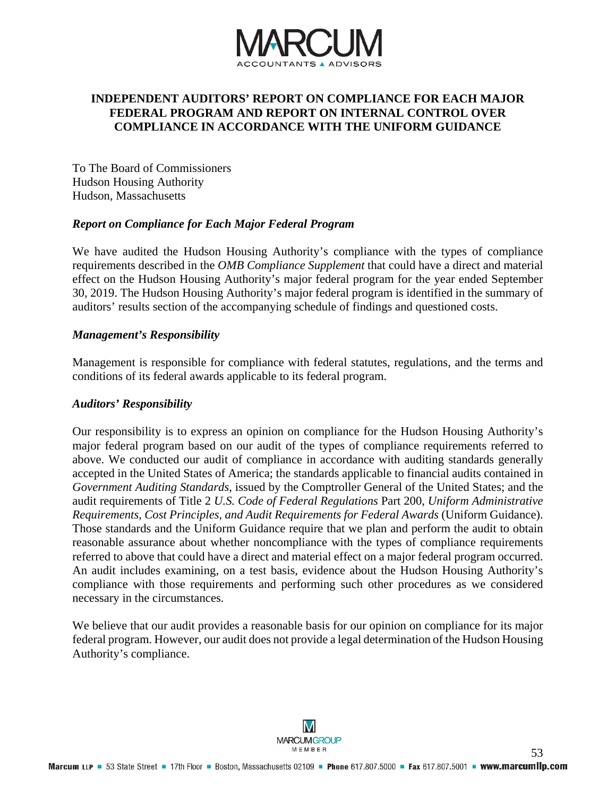

### **INDEPENDENT AUDITORS' REPORT ON COMPLIANCE FOR EACH MAJOR FEDERAL PROGRAM AND REPORT ON INTERNAL CONTROL OVER COMPLIANCE IN ACCORDANCE WITH THE UNIFORM GUIDANCE**

To The Board of Commissioners Hudson Housing Authority Hudson, Massachusetts

### *Report on Compliance for Each Major Federal Program*

We have audited the Hudson Housing Authority's compliance with the types of compliance requirements described in the *OMB Compliance Supplement* that could have a direct and material effect on the Hudson Housing Authority's major federal program for the year ended September 30, 2019. The Hudson Housing Authority's major federal program is identified in the summary of auditors' results section of the accompanying schedule of findings and questioned costs.

#### *Management's Responsibility*

Management is responsible for compliance with federal statutes, regulations, and the terms and conditions of its federal awards applicable to its federal program.

#### *Auditors' Responsibility*

Our responsibility is to express an opinion on compliance for the Hudson Housing Authority's major federal program based on our audit of the types of compliance requirements referred to above. We conducted our audit of compliance in accordance with auditing standards generally accepted in the United States of America; the standards applicable to financial audits contained in *Government Auditing Standards*, issued by the Comptroller General of the United States; and the audit requirements of Title 2 *U.S. Code of Federal Regulations* Part 200, *Uniform Administrative Requirements, Cost Principles, and Audit Requirements for Federal Awards* (Uniform Guidance). Those standards and the Uniform Guidance require that we plan and perform the audit to obtain reasonable assurance about whether noncompliance with the types of compliance requirements referred to above that could have a direct and material effect on a major federal program occurred. An audit includes examining, on a test basis, evidence about the Hudson Housing Authority's compliance with those requirements and performing such other procedures as we considered necessary in the circumstances.

We believe that our audit provides a reasonable basis for our opinion on compliance for its major federal program. However, our audit does not provide a legal determination of the Hudson Housing Authority's compliance.



53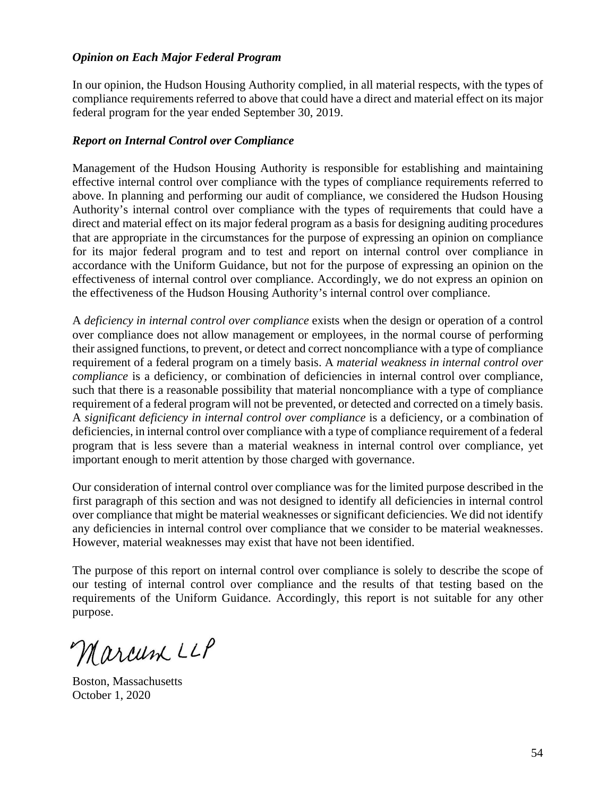### *Opinion on Each Major Federal Program*

In our opinion, the Hudson Housing Authority complied, in all material respects, with the types of compliance requirements referred to above that could have a direct and material effect on its major federal program for the year ended September 30, 2019.

### *Report on Internal Control over Compliance*

Management of the Hudson Housing Authority is responsible for establishing and maintaining effective internal control over compliance with the types of compliance requirements referred to above. In planning and performing our audit of compliance, we considered the Hudson Housing Authority's internal control over compliance with the types of requirements that could have a direct and material effect on its major federal program as a basis for designing auditing procedures that are appropriate in the circumstances for the purpose of expressing an opinion on compliance for its major federal program and to test and report on internal control over compliance in accordance with the Uniform Guidance, but not for the purpose of expressing an opinion on the effectiveness of internal control over compliance. Accordingly, we do not express an opinion on the effectiveness of the Hudson Housing Authority's internal control over compliance.

A *deficiency in internal control over compliance* exists when the design or operation of a control over compliance does not allow management or employees, in the normal course of performing their assigned functions, to prevent, or detect and correct noncompliance with a type of compliance requirement of a federal program on a timely basis. A *material weakness in internal control over compliance* is a deficiency, or combination of deficiencies in internal control over compliance, such that there is a reasonable possibility that material noncompliance with a type of compliance requirement of a federal program will not be prevented, or detected and corrected on a timely basis. A *significant deficiency in internal control over compliance* is a deficiency, or a combination of deficiencies, in internal control over compliance with a type of compliance requirement of a federal program that is less severe than a material weakness in internal control over compliance, yet important enough to merit attention by those charged with governance.

Our consideration of internal control over compliance was for the limited purpose described in the first paragraph of this section and was not designed to identify all deficiencies in internal control over compliance that might be material weaknesses or significant deficiencies. We did not identify any deficiencies in internal control over compliance that we consider to be material weaknesses. However, material weaknesses may exist that have not been identified.

The purpose of this report on internal control over compliance is solely to describe the scope of our testing of internal control over compliance and the results of that testing based on the requirements of the Uniform Guidance. Accordingly, this report is not suitable for any other purpose.

Marcum LLP

Boston, Massachusetts October 1, 2020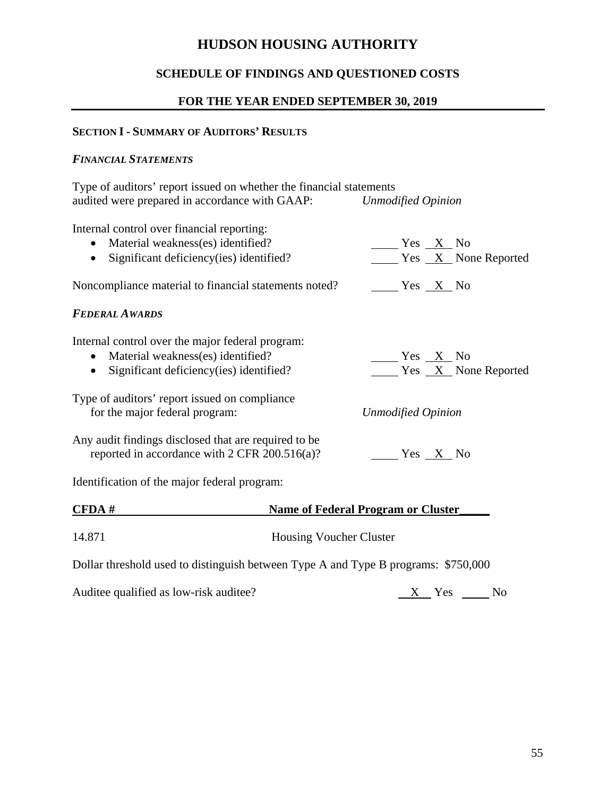# **SCHEDULE OF FINDINGS AND QUESTIONED COSTS**

### **FOR THE YEAR ENDED SEPTEMBER 30, 2019**

#### **SECTION I - SUMMARY OF AUDITORS' RESULTS**

#### *FINANCIAL STATEMENTS*

Type of auditors' report issued on whether the financial statements audited were prepared in accordance with GAAP: *Unmodified Opinion*

Internal control over financial reporting:

| CFDA#                                                                                                                              | <b>Name of Federal Program or Cluster</b> |                                    |                          |
|------------------------------------------------------------------------------------------------------------------------------------|-------------------------------------------|------------------------------------|--------------------------|
| Identification of the major federal program:                                                                                       |                                           |                                    |                          |
| Any audit findings disclosed that are required to be<br>reported in accordance with 2 CFR 200.516(a)?                              |                                           | $Yes$ X No                         |                          |
| Type of auditors' report issued on compliance<br>for the major federal program:                                                    |                                           | <b>Unmodified Opinion</b>          |                          |
| Internal control over the major federal program:<br>• Material weakness(es) identified?<br>Significant deficiency(ies) identified? |                                           | $\frac{X}{Y}$ Yes $\frac{X}{Y}$ No | $Yes$ $X$ None Reported  |
| FEDERAL A WARDS                                                                                                                    |                                           |                                    |                          |
| Noncompliance material to financial statements noted?                                                                              |                                           | $Yes$ X No                         |                          |
| • Material weakness(es) identified?<br>Significant deficiency (ies) identified?                                                    |                                           | $Yes \; X$ No                      | $Yes \; X$ None Reported |
|                                                                                                                                    |                                           |                                    |                          |

| 14.871 | <b>Housing Voucher Cluster</b>                                                     |
|--------|------------------------------------------------------------------------------------|
|        | Dollar threshold used to distinguish between Type A and Type B programs: \$750,000 |

Auditee qualified as low-risk auditee? X Yes No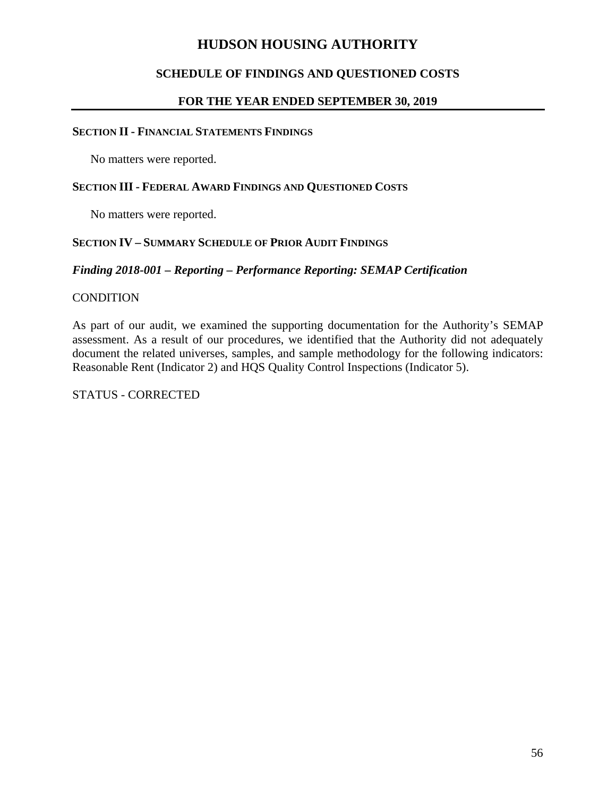## **SCHEDULE OF FINDINGS AND QUESTIONED COSTS**

#### **FOR THE YEAR ENDED SEPTEMBER 30, 2019**

#### **SECTION II - FINANCIAL STATEMENTS FINDINGS**

No matters were reported.

#### **SECTION III - FEDERAL AWARD FINDINGS AND QUESTIONED COSTS**

No matters were reported.

#### **SECTION IV – SUMMARY SCHEDULE OF PRIOR AUDIT FINDINGS**

#### *Finding 2018-001 – Reporting – Performance Reporting: SEMAP Certification*

#### **CONDITION**

As part of our audit, we examined the supporting documentation for the Authority's SEMAP assessment. As a result of our procedures, we identified that the Authority did not adequately document the related universes, samples, and sample methodology for the following indicators: Reasonable Rent (Indicator 2) and HQS Quality Control Inspections (Indicator 5).

STATUS - CORRECTED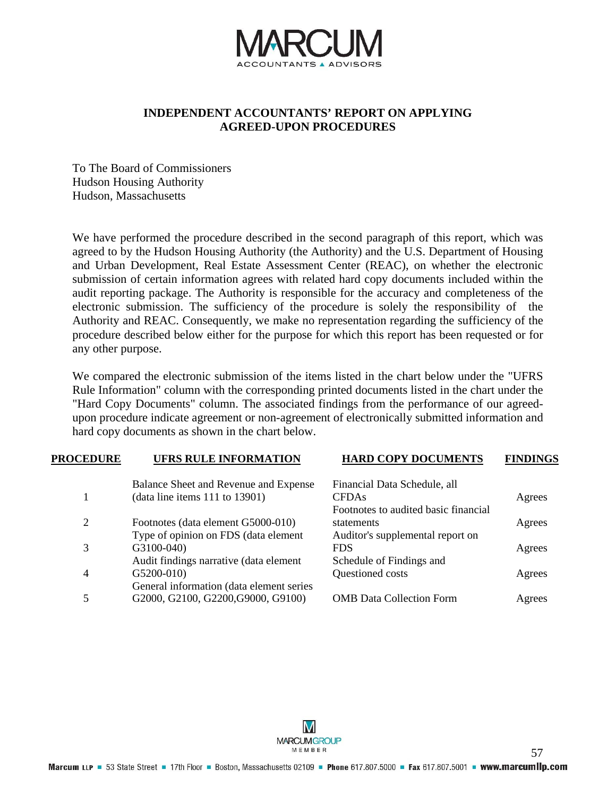

## **INDEPENDENT ACCOUNTANTS' REPORT ON APPLYING AGREED-UPON PROCEDURES**

To The Board of Commissioners Hudson Housing Authority Hudson, Massachusetts

We have performed the procedure described in the second paragraph of this report, which was agreed to by the Hudson Housing Authority (the Authority) and the U.S. Department of Housing and Urban Development, Real Estate Assessment Center (REAC), on whether the electronic submission of certain information agrees with related hard copy documents included within the audit reporting package. The Authority is responsible for the accuracy and completeness of the electronic submission. The sufficiency of the procedure is solely the responsibility of the Authority and REAC. Consequently, we make no representation regarding the sufficiency of the procedure described below either for the purpose for which this report has been requested or for any other purpose.

We compared the electronic submission of the items listed in the chart below under the "UFRS Rule Information" column with the corresponding printed documents listed in the chart under the "Hard Copy Documents" column. The associated findings from the performance of our agreedupon procedure indicate agreement or non-agreement of electronically submitted information and hard copy documents as shown in the chart below.

| <b>PROCEDURE</b> | <b>UFRS RULE INFORMATION</b>             | <b>HARD COPY DOCUMENTS</b>           | <b>FINDINGS</b> |
|------------------|------------------------------------------|--------------------------------------|-----------------|
|                  | Balance Sheet and Revenue and Expense    | Financial Data Schedule, all         |                 |
|                  | (data line items 111 to 13901)           | <b>CFDAs</b>                         | Agrees          |
|                  |                                          | Footnotes to audited basic financial |                 |
| 2                | Footnotes (data element G5000-010)       | statements                           | Agrees          |
|                  | Type of opinion on FDS (data element     | Auditor's supplemental report on     |                 |
| 3                | G3100-040)                               | <b>FDS</b>                           | Agrees          |
|                  | Audit findings narrative (data element   | Schedule of Findings and             |                 |
| $\overline{4}$   | G5200-010)                               | Questioned costs                     | Agrees          |
|                  | General information (data element series |                                      |                 |
| 5                | G2000, G2100, G2200, G9000, G9100)       | <b>OMB</b> Data Collection Form      | Agrees          |
|                  |                                          |                                      |                 |



57